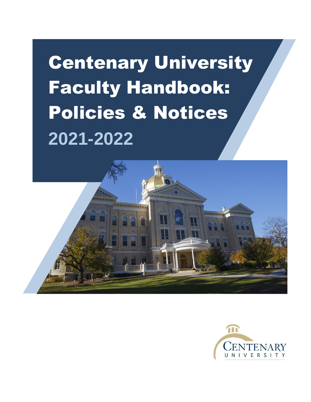# Centenary University Faculty Handbook: Policies & Notices **2021-2022**



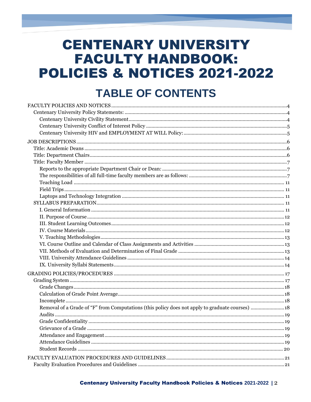# **CENTENARY UNIVERSITY FACULTY HANDBOOK:** POLICIES & NOTICES 2021-2022

# **TABLE OF CONTENTS**

| Removal of a Grade of "F" from Computations (this policy does not apply to graduate courses) 18 |  |
|-------------------------------------------------------------------------------------------------|--|
|                                                                                                 |  |
|                                                                                                 |  |
|                                                                                                 |  |
|                                                                                                 |  |
|                                                                                                 |  |
|                                                                                                 |  |
|                                                                                                 |  |
|                                                                                                 |  |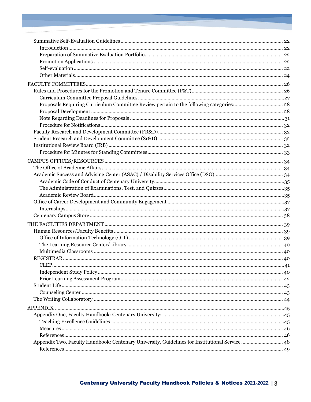| <b>CLEP</b>                                                                                    |  |
|------------------------------------------------------------------------------------------------|--|
|                                                                                                |  |
|                                                                                                |  |
|                                                                                                |  |
|                                                                                                |  |
|                                                                                                |  |
|                                                                                                |  |
|                                                                                                |  |
|                                                                                                |  |
|                                                                                                |  |
|                                                                                                |  |
| Appendix Two, Faculty Handbook: Centenary University, Guidelines for Institutional Service  48 |  |
|                                                                                                |  |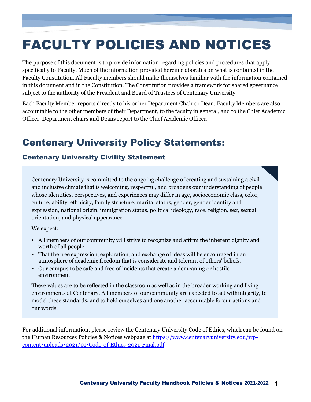# <span id="page-3-0"></span>FACULTY POLICIES AND NOTICES

The purpose of this document is to provide information regarding policies and procedures that apply specifically to Faculty. Much of the information provided herein elaborates on what is contained in the Faculty Constitution. All Faculty members should make themselves familiar with the information contained in this document and in the Constitution. The Constitution provides a framework for shared governance subject to the authority of the President and Board of Trustees of Centenary University.

Each Faculty Member reports directly to his or her Department Chair or Dean. Faculty Members are also accountable to the other members of their Department, to the faculty in general, and to the Chief Academic Officer. Department chairs and Deans report to the Chief Academic Officer.

# <span id="page-3-1"></span>Centenary University Policy Statements:

# <span id="page-3-2"></span>Centenary University Civility Statement

Centenary University is committed to the ongoing challenge of creating and sustaining a civil and inclusive climate that is welcoming, respectful, and broadens our understanding of people whose identities, perspectives, and experiences may differ in age, socioeconomic class, color, culture, ability, ethnicity, family structure, marital status, gender, gender identity and expression, national origin, immigration status, political ideology, race, religion, sex, sexual orientation, and physical appearance.

We expect:

- All members of our community will strive to recognize and affirm the inherent dignity and worth of all people.
- That the free expression, exploration, and exchange of ideas will be encouraged in an atmosphere of academic freedom that is considerate and tolerant of others' beliefs.
- Our campus to be safe and free of incidents that create a demeaning or hostile environment.

These values are to be reflected in the classroom as well as in the broader working and living environments at Centenary. All members of our community are expected to act withintegrity, to model these standards, and to hold ourselves and one another accountable forour actions and our words.

For additional information, please review the Centenary University Code of Ethics, which can be found on the Human Resources Policies & Notices webpage at [https://www.centenaryuniversity.edu/wp](https://www.centenaryuniversity.edu/wp-content/uploads/2021/01/Code-of-Ethics-2021-Final.pdf)[content/uploads/2021/01/Code-of-Ethics-2021-Final.pdf](https://www.centenaryuniversity.edu/wp-content/uploads/2021/01/Code-of-Ethics-2021-Final.pdf)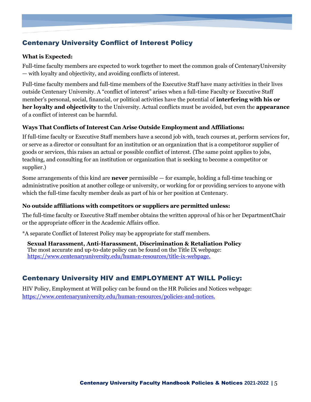# <span id="page-4-0"></span>Centenary University Conflict of Interest Policy

#### **What is Expected:**

Full-time faculty members are expected to work together to meet the common goals of CentenaryUniversity — with loyalty and objectivity, and avoiding conflicts of interest.

Full-time faculty members and full-time members of the Executive Staff have many activities in their lives outside Centenary University. A "conflict of interest" arises when a full-time Faculty or Executive Staff member's personal, social, financial, or political activities have the potential of **interfering with his or her loyalty and objectivity** to the University. Actual conflicts must be avoided, but even the **appearance** of a conflict of interest can be harmful.

#### **Ways That Conflicts of Interest Can Arise Outside Employment and Affiliations:**

If full-time faculty or Executive Staff members have a second job with, teach courses at, perform services for, or serve as a director or consultant for an institution or an organization that is a competitoror supplier of goods or services, this raises an actual or possible conflict of interest. (The same point applies to jobs, teaching, and consulting for an institution or organization that is seeking to become a competitor or supplier.)

Some arrangements of this kind are **never** permissible — for example, holding a full-time teaching or administrative position at another college or university, or working for or providing services to anyone with which the full-time faculty member deals as part of his or her position at Centenary.

#### **No outside affiliations with competitors or suppliers are permitted unless:**

The full-time faculty or Executive Staff member obtains the written approval of his or her DepartmentChair or the appropriate officer in the Academic Affairs office.

\*A separate Conflict of Interest Policy may be appropriate for staff members.

**Sexual Harassment, Anti-Harassment, Discrimination & Retaliation Policy** The most accurate and up-to-date policy can be found on the Title IX webpage: [https://www.centenaryuniversity.edu/human-resources/title-ix-webpage.](https://www.centenaryuniversity.edu/human-resources/title-ix-webpage)

# <span id="page-4-1"></span>Centenary University HIV and EMPLOYMENT AT WILL Policy:

HIV Policy, Employment at Will policy can be found on the HR Policies and Notices webpage: <https://www.centenaryuniversity.edu/human-resources/policies-and-notices.>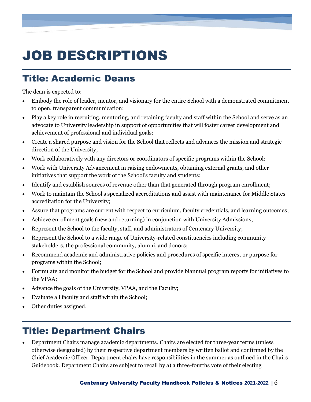# <span id="page-5-0"></span>JOB DESCRIPTIONS

# <span id="page-5-1"></span>Title: Academic Deans

The dean is expected to:

- Embody the role of leader, mentor, and visionary for the entire School with a demonstrated commitment to open, transparent communication;
- Play a key role in recruiting, mentoring, and retaining faculty and staff within the School and serve as an advocate to University leadership in support of opportunities that will foster career development and achievement of professional and individual goals;
- Create a shared purpose and vision for the School that reflects and advances the mission and strategic direction of the University;
- Work collaboratively with any directors or coordinators of specific programs within the School;
- Work with University Advancement in raising endowments, obtaining external grants, and other initiatives that support the work of the School's faculty and students;
- Identify and establish sources of revenue other than that generated through program enrollment;
- Work to maintain the School's specialized accreditations and assist with maintenance for Middle States accreditation for the University;
- Assure that programs are current with respect to curriculum, faculty credentials, and learning outcomes;
- Achieve enrollment goals (new and returning) in conjunction with University Admissions;
- Represent the School to the faculty, staff, and administrators of Centenary University;
- Represent the School to a wide range of University-related constituencies including community stakeholders, the professional community, alumni, and donors;
- Recommend academic and administrative policies and procedures of specific interest or purpose for programs within the School;
- Formulate and monitor the budget for the School and provide biannual program reports for initiatives to the VPAA;
- Advance the goals of the University, VPAA, and the Faculty;
- Evaluate all faculty and staff within the School;
- Other duties assigned.

# <span id="page-5-2"></span>Title: Department Chairs

• Department Chairs manage academic departments. Chairs are elected for three-year terms (unless otherwise designated) by their respective department members by written ballot and confirmed by the Chief Academic Officer. Department chairs have responsibilities in the summer as outlined in the Chairs Guidebook. Department Chairs are subject to recall by a) a three-fourths vote of their electing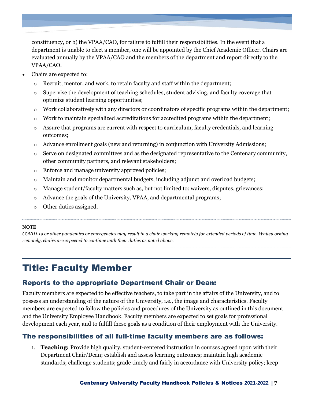constituency, or b) the VPAA/CAO, for failure to fulfill their responsibilities. In the event that a department is unable to elect a member, one will be appointed by the Chief Academic Officer. Chairs are evaluated annually by the VPAA/CAO and the members of the department and report directly to the VPAA/CAO.

- Chairs are expected to:
	- o Recruit, mentor, and work, to retain faculty and staff within the department;
	- $\circ$  Supervise the development of teaching schedules, student advising, and faculty coverage that optimize student learning opportunities;
	- $\circ$  Work collaboratively with any directors or coordinators of specific programs within the department;
	- o Work to maintain specialized accreditations for accredited programs within the department;
	- $\circ$  Assure that programs are current with respect to curriculum, faculty credentials, and learning outcomes;
	- $\circ$  Advance enrollment goals (new and returning) in conjunction with University Admissions;
	- o Serve on designated committees and as the designated representative to the Centenary community, other community partners, and relevant stakeholders;
	- o Enforce and manage university approved policies;
	- $\circ$  Maintain and monitor departmental budgets, including adjunct and overload budgets;
	- o Manage student/faculty matters such as, but not limited to: waivers, disputes, grievances;
	- o Advance the goals of the University, VPAA, and departmental programs;
	- o Other duties assigned.

#### **NOTE**

*COVID-19 or other pandemics or emergencies may result in a chair working remotely for extended periods of time. Whileworking remotely, chairs are expected to continue with their duties as noted above.*

# <span id="page-6-0"></span>Title: Faculty Member

## <span id="page-6-1"></span>Reports to the appropriate Department Chair or Dean:

Faculty members are expected to be effective teachers, to take part in the affairs of the University, and to possess an understanding of the nature of the University, i.e., the image and characteristics. Faculty members are expected to follow the policies and procedures of the University as outlined in this document and the University Employee Handbook. Faculty members are expected to set goals for professional development each year, and to fulfill these goals as a condition of their employment with the University.

## <span id="page-6-2"></span>The responsibilities of all full-time faculty members are as follows:

1. **Teaching:** Provide high quality, student-centered instruction in courses agreed upon with their Department Chair/Dean; establish and assess learning outcomes; maintain high academic standards; challenge students; grade timely and fairly in accordance with University policy; keep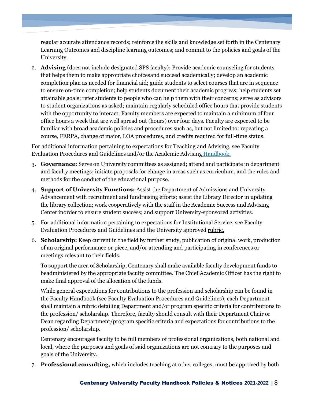regular accurate attendance records; reinforce the skills and knowledge set forth in the Centenary Learning Outcomes and discipline learning outcomes; and commit to the policies and goals of the University.

2. **Advising** (does not include designated SPS faculty): Provide academic counseling for students that helps them to make appropriate choicesand succeed academically; develop an academic completion plan as needed for financial aid; guide students to select courses that are in sequence to ensure on-time completion; help students document their academic progress; help students set attainable goals; refer students to people who can help them with their concerns; serve as advisors to student organizations as asked; maintain regularly scheduled office hours that provide students with the opportunity to interact. Faculty members are expected to maintain a minimum of four office hours a week that are well spread out (hours) over four days. Faculty are expected to be familiar with broad academic policies and procedures such as, but not limited to: repeating a course, FERPA, change of major, LOA procedures, and credits required for full-time status.

For additional information pertaining to expectations for Teaching and Advising, see Faculty Evaluation Procedures and Guidelines and/or the Academic Advising [Handbook.](https://centenaryuniversity.sharepoint.com/:f:/g/AA/Ei3jHej7VKtJmgCcxO0jEAYBUVZX6wNrTRmWcFLrwHs7BQ?e=MEO3ZO)

- 3. **Governance:** Serve on University committees as assigned; attend and participate in department and faculty meetings; initiate proposals for change in areas such as curriculum, and the rules and methods for the conduct of the educational purpose.
- 4. **Support of University Functions:** Assist the Department of Admissions and University Advancement with recruitment and fundraising efforts; assist the Library Director in updating the library collection; work cooperatively with the staff in the Academic Success and Advising Center inorder to ensure student success; and support University-sponsored activities.
- 5. For additional information pertaining to expectations for Institutional Service, see Faculty Evaluation Procedures and Guidelines and the University approved [rubric.](https://centenaryuniversity.sharepoint.com/:f:/g/AA/EhLKeOlwqFBAtRkeRWHO9yABK7dYetMZxNNhMkt0M5D8FA?e=uGlLK1)
- 6. **Scholarship:** Keep current in the field by further study, publication of original work, production of an original performance or piece, and/or attending and participating in conferences or meetings relevant to their fields.

To support the area of Scholarship, Centenary shall make available faculty development funds to beadministered by the appropriate faculty committee. The Chief Academic Officer has the right to make final approval of the allocation of the funds.

While general expectations for contributions to the profession and scholarship can be found in the Faculty Handbook (see Faculty Evaluation Procedures and Guidelines), each Department shall maintain a rubric detailing Department and/or program specific criteria for contributions to the profession/ scholarship. Therefore, faculty should consult with their Department Chair or Dean regarding Department/program specific criteria and expectations for contributions to the profession/ scholarship.

Centenary encourages faculty to be full members of professional organizations, both national and local, where the purposes and goals of said organizations are not contrary to the purposes and goals of the University.

7. **Professional consulting,** which includes teaching at other colleges, must be approved by both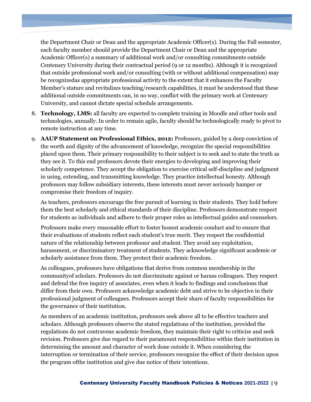the Department Chair or Dean and the appropriate Academic Officer(s). During the Fall semester, each faculty member should provide the Department Chair or Dean and the appropriate Academic Officer(s) a summary of additional work and/or consulting commitments outside Centenary University during their contractual period (9 or 12 months). Although it is recognized that outside professional work and/or consulting (with or without additional compensation) may be recognizedas appropriate professional activity to the extent that it enhances the Faculty Member's stature and revitalizes teaching/research capabilities, it must be understood that these additional outside commitments can, in no way, conflict with the primary work at Centenary University, and cannot dictate special schedule arrangements.

- 8. **Technology, LMS:** all faculty are expected to complete training in Moodle and other tools and technologies, annually. In order to remain agile, faculty should be technologically ready to pivot to remote instruction at any time.
- 9. **AAUP Statement on Professional Ethics, 2012:** Professors, guided by a deep conviction of the worth and dignity of the advancement of knowledge, recognize the special responsibilities placed upon them. Their primary responsibility to their subject is to seek and to state the truth as they see it. To this end professors devote their energies to developing and improving their scholarly competence. They accept the obligation to exercise critical self-discipline and judgment in using, extending, and transmitting knowledge. They practice intellectual honesty. Although professors may follow subsidiary interests, these interests must never seriously hamper or compromise their freedom of inquiry.

As teachers, professors encourage the free pursuit of learning in their students. They hold before them the best scholarly and ethical standards of their discipline. Professors demonstrate respect for students as individuals and adhere to their proper roles as intellectual guides and counselors.

Professors make every reasonable effort to foster honest academic conduct and to ensure that their evaluations of students reflect each student's true merit. They respect the confidential nature of the relationship between professor and student. They avoid any exploitation, harassment, or discriminatory treatment of students. They acknowledge significant academic or scholarly assistance from them. They protect their academic freedom.

As colleagues, professors have obligations that derive from common membership in the communityof scholars. Professors do not discriminate against or harass colleagues. They respect and defend the free inquiry of associates, even when it leads to findings and conclusions that differ from their own. Professors acknowledge academic debt and strive to be objective in their professional judgment of colleagues. Professors accept their share of faculty responsibilities for the governance of their institution.

As members of an academic institution, professors seek above all to be effective teachers and scholars. Although professors observe the stated regulations of the institution, provided the regulations do not contravene academic freedom, they maintain their right to criticize and seek revision. Professors give due regard to their paramount responsibilities within their institution in determining the amount and character of work done outside it. When considering the interruption or termination of their service, professors recognize the effect of their decision upon the program ofthe institution and give due notice of their intentions.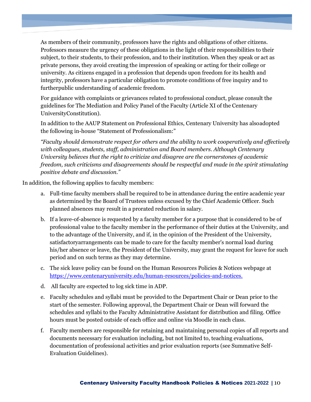As members of their community, professors have the rights and obligations of other citizens. Professors measure the urgency of these obligations in the light of their responsibilities to their subject, to their students, to their profession, and to their institution. When they speak or act as private persons, they avoid creating the impression of speaking or acting for their college or university. As citizens engaged in a profession that depends upon freedom for its health and integrity, professors have a particular obligation to promote conditions of free inquiry and to furtherpublic understanding of academic freedom.

For guidance with complaints or grievances related to professional conduct, please consult the guidelines for The Mediation and Policy Panel of the Faculty (Article XI of the Centenary UniversityConstitution).

In addition to the AAUP Statement on Professional Ethics, Centenary University has alsoadopted the following in-house "Statement of Professionalism:"

*"Faculty should demonstrate respect for others and the ability to work cooperatively and effectively with colleagues, students, staff, administration and Board members. Although Centenary University believes that the right to criticize and disagree are the cornerstones of academic freedom, such criticisms and disagreements should be respectful and made in the spirit stimulating positive debate and discussion."*

In addition, the following applies to faculty members:

- a. Full-time faculty members shall be required to be in attendance during the entire academic year as determined by the Board of Trustees unless excused by the Chief Academic Officer. Such planned absences may result in a prorated reduction in salary.
- b. If a leave-of-absence is requested by a faculty member for a purpose that is considered to be of professional value to the faculty member in the performance of their duties at the University, and to the advantage of the University, and if, in the opinion of the President of the University, satisfactoryarrangements can be made to care for the faculty member's normal load during his/her absence or leave, the President of the University, may grant the request for leave for such period and on such terms as they may determine.
- c. The sick leave policy can be found on the Human Resources Policies & Notices webpage at <https://www.centenaryuniversity.edu/human-resources/policies-and-notices.>
- d. All faculty are expected to log sick time in ADP.
- e. Faculty schedules and syllabi must be provided to the Department Chair or Dean prior to the start of the semester. Following approval, the Department Chair or Dean will forward the schedules and syllabi to the Faculty Administrative Assistant for distribution and filing. Office hours must be posted outside of each office and online via Moodle in each class.
- f. Faculty members are responsible for retaining and maintaining personal copies of all reports and documents necessary for evaluation including, but not limited to, teaching evaluations, documentation of professional activities and prior evaluation reports (see Summative Self-Evaluation Guidelines).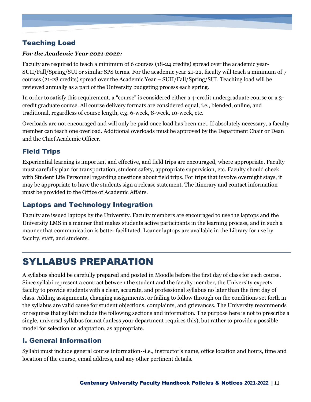# <span id="page-10-0"></span>Teaching Load

#### *For the Academic Year 2021-2022:*

Faculty are required to teach a minimum of 6 courses (18-24 credits) spread over the academic year-SUII/Fall/Spring/SUI or similar SPS terms. For the academic year 21-22, faculty will teach a minimum of 7 courses (21-28 credits) spread over the Academic Year – SUII/Fall/Spring/SUI. Teaching load will be reviewed annually as a part of the University budgeting process each spring.

In order to satisfy this requirement, a "course" is considered either a 4-credit undergraduate course or a 3 credit graduate course. All course delivery formats are considered equal, i.e., blended, online, and traditional, regardless of course length, e.g. 6-week, 8-week, 10-week, etc.

Overloads are not encouraged and will only be paid once load has been met. If absolutely necessary, a faculty member can teach one overload. Additional overloads must be approved by the Department Chair or Dean and the Chief Academic Officer.

# <span id="page-10-1"></span>Field Trips

Experiential learning is important and effective, and field trips are encouraged, where appropriate. Faculty must carefully plan for transportation, student safety, appropriate supervision, etc. Faculty should check with Student Life Personnel regarding questions about field trips. For trips that involve overnight stays, it may be appropriate to have the students sign a release statement. The itinerary and contact information must be provided to the Office of Academic Affairs.

## <span id="page-10-2"></span>Laptops and Technology Integration

Faculty are issued laptops by the University. Faculty members are encouraged to use the laptops and the University LMS in a manner that makes students active participants in the learning process, and in such a manner that communication is better facilitated. Loaner laptops are available in the Library for use by faculty, staff, and students.

# <span id="page-10-3"></span>SYLLABUS PREPARATION

A syllabus should be carefully prepared and posted in Moodle before the first day of class for each course. Since syllabi represent a contract between the student and the faculty member, the University expects faculty to provide students with a clear, accurate, and professional syllabus no later than the first day of class. Adding assignments, changing assignments, or failing to follow through on the conditions set forth in the syllabus are valid cause for student objections, complaints, and grievances. The University recommends or requires that syllabi include the following sections and information. The purpose here is not to prescribe a single, universal syllabus format (unless your department requires this), but rather to provide a possible model for selection or adaptation, as appropriate.

## <span id="page-10-4"></span>I. General Information

Syllabi must include general course information--i.e., instructor's name, office location and hours, time and location of the course, email address, and any other pertinent details.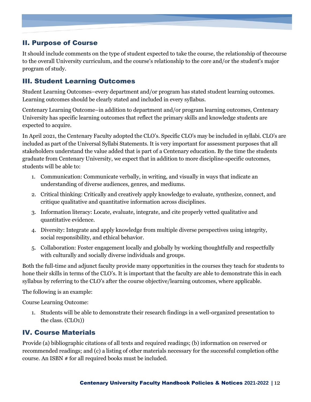# <span id="page-11-0"></span>II. Purpose of Course

It should include comments on the type of student expected to take the course, the relationship of thecourse to the overall University curriculum, and the course's relationship to the core and/or the student's major program of study.

## <span id="page-11-1"></span>III. Student Learning Outcomes

Student Learning Outcomes–every department and/or program has stated student learning outcomes. Learning outcomes should be clearly stated and included in every syllabus.

Centenary Learning Outcome–in addition to department and/or program learning outcomes, Centenary University has specific learning outcomes that reflect the primary skills and knowledge students are expected to acquire.

In April 2021, the Centenary Faculty adopted the CLO's. Specific CLO's may be included in syllabi. CLO's are included as part of the Universal Syllabi Statements. It is very important for assessment purposes that all stakeholders understand the value added that is part of a Centenary education. By the time the students graduate from Centenary University, we expect that in addition to more discipline-specific outcomes, students will be able to:

- 1. Communication: Communicate verbally, in writing, and visually in ways that indicate an understanding of diverse audiences, genres, and mediums.
- 2. Critical thinking: Critically and creatively apply knowledge to evaluate, synthesize, connect, and critique qualitative and quantitative information across disciplines.
- 3. Information literacy: Locate, evaluate, integrate, and cite properly vetted qualitative and quantitative evidence.
- 4. Diversity: Integrate and apply knowledge from multiple diverse perspectives using integrity, social responsibility, and ethical behavior.
- 5. Collaboration: Foster engagement locally and globally by working thoughtfully and respectfully with culturally and socially diverse individuals and groups.

Both the full-time and adjunct faculty provide many opportunities in the courses they teach for students to hone their skills in terms of the CLO's. It is important that the faculty are able to demonstrate this in each syllabus by referring to the CLO's after the course objective/learning outcomes, where applicable.

The following is an example:

Course Learning Outcome:

1. Students will be able to demonstrate their research findings in a well-organized presentation to the class. (CLO1))

# <span id="page-11-2"></span>IV. Course Materials

Provide (a) bibliographic citations of all texts and required readings; (b) information on reserved or recommended readings; and (c) a listing of other materials necessary for the successful completion ofthe course. An ISBN # for all required books must be included.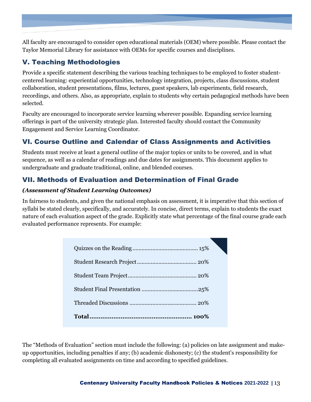All faculty are encouraged to consider open educational materials (OEM) where possible. Please contact the Taylor Memorial Library for assistance with OEMs for specific courses and disciplines.

# <span id="page-12-0"></span>V. Teaching Methodologies

Provide a specific statement describing the various teaching techniques to be employed to foster studentcentered learning: experiential opportunities, technology integration, projects, class discussions, student collaboration, student presentations, films, lectures, guest speakers, lab experiments, field research, recordings, and others. Also, as appropriate, explain to students why certain pedagogical methods have been selected.

Faculty are encouraged to incorporate service learning wherever possible. Expanding service learning offerings is part of the university strategic plan. Interested faculty should contact the Community Engagement and Service Learning Coordinator.

# <span id="page-12-1"></span>VI. Course Outline and Calendar of Class Assignments and Activities

Students must receive at least a general outline of the major topics or units to be covered, and in what sequence, as well as a calendar of readings and due dates for assignments. This document applies to undergraduate and graduate traditional, online, and blended courses.

# <span id="page-12-2"></span>VII. Methods of Evaluation and Determination of Final Grade

#### *(Assessment of Student Learning Outcomes)*

In fairness to students, and given the national emphasis on assessment, it is imperative that this section of syllabi be stated clearly, specifically, and accurately. In concise, direct terms, explain to students the exact nature of each evaluation aspect of the grade. Explicitly state what percentage of the final course grade each evaluated performance represents. For example:

The "Methods of Evaluation" section must include the following: (a) policies on late assignment and makeup opportunities, including penalties if any; (b) academic dishonesty; (c) the student's responsibility for completing all evaluated assignments on time and according to specified guidelines.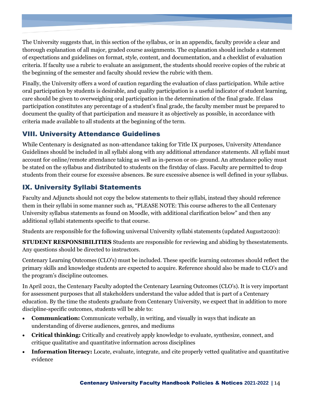The University suggests that, in this section of the syllabus, or in an appendix, faculty provide a clear and thorough explanation of all major, graded course assignments. The explanation should include a statement of expectations and guidelines on format, style, content, and documentation, and a checklist of evaluation criteria. If faculty use a rubric to evaluate an assignment, the students should receive copies of the rubric at the beginning of the semester and faculty should review the rubric with them.

Finally, the University offers a word of caution regarding the evaluation of class participation. While active oral participation by students is desirable, and quality participation is a useful indicator of student learning, care should be given to overweighing oral participation in the determination of the final grade. If class participation constitutes any percentage of a student's final grade, the faculty member must be prepared to document the quality of that participation and measure it as objectively as possible, in accordance with criteria made available to all students at the beginning of the term.

# <span id="page-13-0"></span>VIII. University Attendance Guidelines

While Centenary is designated as non-attendance taking for Title IX purposes, University Attendance Guidelines should be included in all syllabi along with any additional attendance statements. All syllabi must account for online/remote attendance taking as well as in-person or on- ground. An attendance policy must be stated on the syllabus and distributed to students on the firstday of class. Faculty are permitted to drop students from their course for excessive absences. Be sure excessive absence is well defined in your syllabus.

# <span id="page-13-1"></span>IX. University Syllabi Statements

Faculty and Adjuncts should not copy the below statements to their syllabi, instead they should reference them in their syllabi in some manner such as, "PLEASE NOTE: This course adheres to the all Centenary University syllabus statements as found on Moodle, with additional clarification below" and then any additional syllabi statements specific to that course.

Students are responsible for the following universal University syllabi statements (updated August2020):

**STUDENT RESPONSIBILITIES** Students are responsible for reviewing and abiding by thesestatements. Any questions should be directed to instructors.

Centenary Learning Outcomes (CLO's) must be included. These specific learning outcomes should reflect the primary skills and knowledge students are expected to acquire. Reference should also be made to CLO's and the program's discipline outcomes.

In April 2021, the Centenary Faculty adopted the Centenary Learning Outcomes (CLO's). It is very important for assessment purposes that all stakeholders understand the value added that is part of a Centenary education. By the time the students graduate from Centenary University, we expect that in addition to more discipline-specific outcomes, students will be able to:

- **Communication:** Communicate verbally, in writing, and visually in ways that indicate an understanding of diverse audiences, genres, and mediums
- **Critical thinking:** Critically and creatively apply knowledge to evaluate, synthesize, connect, and critique qualitative and quantitative information across disciplines
- **Information literacy:** Locate, evaluate, integrate, and cite properly vetted qualitative and quantitative evidence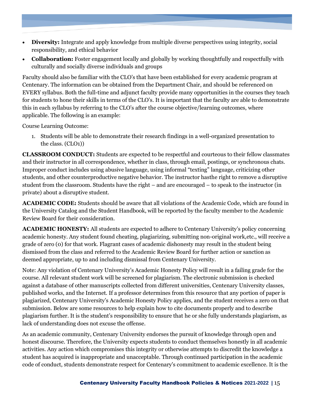- **Diversity:** Integrate and apply knowledge from multiple diverse perspectives using integrity, social responsibility, and ethical behavior
- **Collaboration:** Foster engagement locally and globally by working thoughtfully and respectfully with culturally and socially diverse individuals and groups

Faculty should also be familiar with the CLO's that have been established for every academic program at Centenary. The information can be obtained from the Department Chair, and should be referenced on EVERY syllabus. Both the full-time and adjunct faculty provide many opportunities in the courses they teach for students to hone their skills in terms of the CLO's. It is important that the faculty are able to demonstrate this in each syllabus by referring to the CLO's after the course objective/learning outcomes, where applicable. The following is an example:

Course Learning Outcome:

1. Students will be able to demonstrate their research findings in a well-organized presentation to the class. (CLO1))

**CLASSROOM CONDUCT:** Students are expected to be respectful and courteous to their fellow classmates and their instructor in all correspondence, whether in class, through email, postings, or synchronous chats. Improper conduct includes using abusive language, using informal "texting" language, criticizing other students, and other counterproductive negative behavior. The instructor hasthe right to remove a disruptive student from the classroom. Students have the right – and are encouraged – to speak to the instructor (in private) about a disruptive student.

**ACADEMIC CODE:** Students should be aware that all violations of the Academic Code, which are found in the University Catalog and the Student Handbook, will be reported by the faculty member to the Academic Review Board for their consideration.

**ACADEMIC HONESTY:** All students are expected to adhere to Centenary University's policy concerning academic honesty. Any student found cheating, plagiarizing, submitting non-original work,etc., will receive a grade of zero (0) for that work. Flagrant cases of academic dishonesty may result in the student being dismissed from the class and referred to the Academic Review Board for further action or sanction as deemed appropriate, up to and including dismissal from Centenary University.

Note: Any violation of Centenary University's Academic Honesty Policy will result in a failing grade for the course. All relevant student work will be screened for plagiarism. The electronic submission is checked against a database of other manuscripts collected from different universities, Centenary University classes, published works, and the Internet. If a professor determines from this resource that any portion of paper is plagiarized, Centenary University's Academic Honesty Policy applies, and the student receives a zero on that submission. Below are some resources to help explain how to cite documents properly and to describe plagiarism further. It is the student's responsibility to ensure that he or she fully understands plagiarism, as lack of understanding does not excuse the offense.

As an academic community, Centenary University endorses the pursuit of knowledge through open and honest discourse. Therefore, the University expects students to conduct themselves honestly in all academic activities. Any action which compromises this integrity or otherwise attempts to discredit the knowledge a student has acquired is inappropriate and unacceptable. Through continued participation in the academic code of conduct, students demonstrate respect for Centenary's commitment to academic excellence. It is the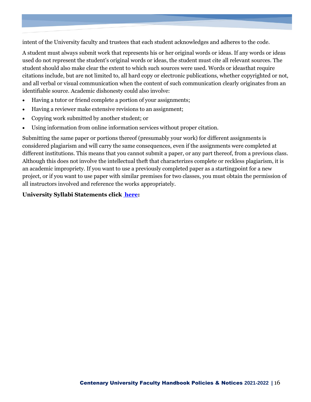intent of the University faculty and trustees that each student acknowledges and adheres to the code.

A student must always submit work that represents his or her original words or ideas. If any words or ideas used do not represent the student's original words or ideas, the student must cite all relevant sources. The student should also make clear the extent to which such sources were used. Words or ideasthat require citations include, but are not limited to, all hard copy or electronic publications, whether copyrighted or not, and all verbal or visual communication when the content of such communication clearly originates from an identifiable source. Academic dishonesty could also involve:

- Having a tutor or friend complete a portion of your assignments;
- Having a reviewer make extensive revisions to an assignment;
- Copying work submitted by another student; or
- Using information from online information services without proper citation.

Submitting the same paper or portions thereof (presumably your work) for different assignments is considered plagiarism and will carry the same consequences, even if the assignments were completed at different institutions. This means that you cannot submit a paper, or any part thereof, from a previous class. Although this does not involve the intellectual theft that characterizes complete or reckless plagiarism, it is an academic impropriety. If you want to use a previously completed paper as a startingpoint for a new project, or if you want to use paper with similar premises for two classes, you must obtain the permission of all instructors involved and reference the works appropriately.

#### **University Syllabi Statements click [here:](https://centenaryuniversity.sharepoint.com/:b:/g/AA/ESY3SdGKI_lErRlZeM4JfOYBsSXI4SGjD1453VEz4y2k-Q?e=jNgnw9)**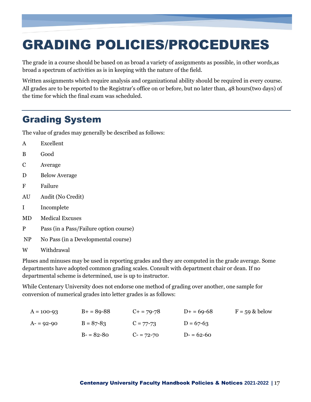# <span id="page-16-0"></span>GRADING POLICIES/PROCEDURES

The grade in a course should be based on as broad a variety of assignments as possible, in other words,as broad a spectrum of activities as is in keeping with the nature of the field.

Written assignments which require analysis and organizational ability should be required in every course. All grades are to be reported to the Registrar's office on or before, but no later than, 48 hours(two days) of the time for which the final exam was scheduled.

# <span id="page-16-1"></span>Grading System

The value of grades may generally be described as follows:

- A Excellent
- B Good
- C Average
- D Below Average
- F Failure
- AU Audit (No Credit)
- I Incomplete
- MD Medical Excuses
- P Pass (in a Pass/Failure option course)
- NP No Pass (in a Developmental course)
- W Withdrawal

Pluses and minuses may be used in reporting grades and they are computed in the grade average. Some departments have adopted common grading scales. Consult with department chair or dean. If no departmental scheme is determined, use is up to instructor.

While Centenary University does not endorse one method of grading over another, one sample for conversion of numerical grades into letter grades is as follows:

| $A = 100 - 93$ | $B+ = 89-88$  | $C_{+}$ = 79-78 | $D+ = 69-68$ | $F = 59$ & below |
|----------------|---------------|-----------------|--------------|------------------|
| $A - 92 - 90$  | $B = 87 - 83$ | $C = 77 - 73$   | $D = 67-63$  |                  |
|                | $B - 82 - 80$ | $C = 72 - 70$   | $D = 62-60$  |                  |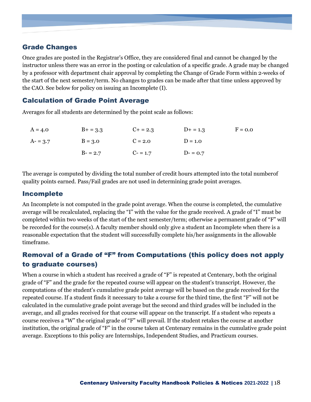### <span id="page-17-0"></span>Grade Changes

Once grades are posted in the Registrar's Office, they are considered final and cannot be changed by the instructor unless there was an error in the posting or calculation of a specific grade. A grade may be changed by a professor with department chair approval by completing the Change of Grade Form within 2-weeks of the start of the next semester/term. No changes to grades can be made after that time unless approved by the CAO. See below for policy on issuing an Incomplete (I).

### <span id="page-17-1"></span>Calculation of Grade Point Average

Averages for all students are determined by the point scale as follows:

| $A = 4.0$ | $B+ = 3.3$ | $C_{+} = 2.3$ | $D+ = 1.3$ | $F = 0.0$ |
|-----------|------------|---------------|------------|-----------|
| $A = 3.7$ | $B = 3.0$  | $C = 2.0$     | $D = 1.0$  |           |
|           | $B - 2.7$  | $C - 1.7$     | $D = 0.7$  |           |

The average is computed by dividing the total number of credit hours attempted into the total numberof quality points earned. Pass/Fail grades are not used in determining grade point averages.

### <span id="page-17-2"></span>Incomplete

An Incomplete is not computed in the grade point average. When the course is completed, the cumulative average will be recalculated, replacing the "I" with the value for the grade received. A grade of "I" must be completed within two weeks of the start of the next semester/term; otherwise a permanent grade of "F" will be recorded for the course(s). A faculty member should only give a student an Incomplete when there is a reasonable expectation that the student will successfully complete his/her assignments in the allowable timeframe.

# <span id="page-17-3"></span>Removal of a Grade of "F" from Computations (this policy does not apply to graduate courses)

When a course in which a student has received a grade of "F" is repeated at Centenary, both the original grade of "F" and the grade for the repeated course will appear on the student's transcript. However, the computations of the student's cumulative grade point average will be based on the grade received for the repeated course. If a student finds it necessary to take a course for the third time, the first "F" will not be calculated in the cumulative grade point average but the second and third grades will be included in the average, and all grades received for that course will appear on the transcript. If a student who repeats a course receives a "W" the original grade of "F" will prevail. If the student retakes the course at another institution, the original grade of "F" in the course taken at Centenary remains in the cumulative grade point average. Exceptions to this policy are Internships, Independent Studies, and Practicum courses.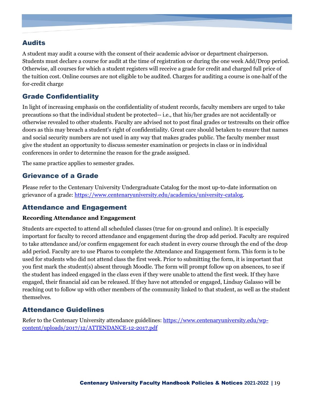# <span id="page-18-0"></span>Audits

A student may audit a course with the consent of their academic advisor or department chairperson. Students must declare a course for audit at the time of registration or during the one week Add/Drop period. Otherwise, all courses for which a student registers will receive a grade for credit and charged full price of the tuition cost. Online courses are not eligible to be audited. Charges for auditing a course is one‐half of the for‐credit charge

## <span id="page-18-1"></span>Grade Confidentiality

In light of increasing emphasis on the confidentiality of student records, faculty members are urged to take precautions so that the individual student be protected-- i.e., that his/her grades are not accidentally or otherwise revealed to other students. Faculty are advised not to post final grades or testresults on their office doors as this may breach a student's right of confidentiality. Great care should betaken to ensure that names and social security numbers are not used in any way that makes grades public. The faculty member must give the student an opportunity to discuss semester examination or projects in class or in individual conferences in order to determine the reason for the grade assigned.

The same practice applies to semester grades.

## <span id="page-18-2"></span>Grievance of a Grade

<span id="page-18-3"></span>Please refer to the Centenary University Undergraduate Catalog for the most up-to-date information on grievance of a grade: [https://www.centenaryuniversity.edu/academics/university-catalog.](https://www.centenaryuniversity.edu/academics/university-catalog)

## Attendance and Engagement

#### **Recording Attendance and Engagement**

Students are expected to attend all scheduled classes (true for on-ground and online). It is especially important for faculty to record attendance and engagement during the drop add period. Faculty are required to take attendance and/or confirm engagement for each student in every course through the end of the drop add period. Faculty are to use Pharos to complete the Attendance and Engagement form. This form is to be used for students who did not attend class the first week. Prior to submitting the form, it is important that you first mark the student(s) absent through Moodle. The form will prompt follow up on absences, to see if the student has indeed engaged in the class even if they were unable to attend the first week. If they have engaged, their financial aid can be released. If they have not attended or engaged, Lindsay Galasso will be reaching out to follow up with other members of the community linked to that student, as well as the student themselves.

## <span id="page-18-4"></span>Attendance Guidelines

Refer to the Centenary University attendance guidelines: [https://www.centenaryuniversity.edu/wp](https://www.centenaryuniversity.edu/wp-content/uploads/2017/12/ATTENDANCE-12-2017.pdf)[content/uploads/2017/12/ATTENDANCE-12-2017.pdf](https://www.centenaryuniversity.edu/wp-content/uploads/2017/12/ATTENDANCE-12-2017.pdf)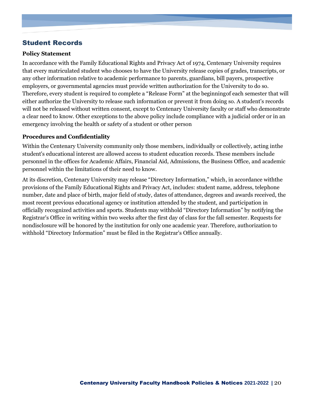# <span id="page-19-0"></span>Student Records

#### **Policy Statement**

In accordance with the Family Educational Rights and Privacy Act of 1974, Centenary University requires that every matriculated student who chooses to have the University release copies of grades, transcripts, or any other information relative to academic performance to parents, guardians, bill payers, prospective employers, or governmental agencies must provide written authorization for the University to do so. Therefore, every student is required to complete a "Release Form" at the beginningof each semester that will either authorize the University to release such information or prevent it from doing so. A student's records will not be released without written consent, except to Centenary University faculty or staff who demonstrate a clear need to know. Other exceptions to the above policy include compliance with a judicial order or in an emergency involving the health or safety of a student or other person

#### **Procedures and Confidentiality**

Within the Centenary University community only those members, individually or collectively, acting inthe student's educational interest are allowed access to student education records. These members include personnel in the offices for Academic Affairs, Financial Aid, Admissions, the Business Office, and academic personnel within the limitations of their need to know.

At its discretion, Centenary University may release "Directory Information," which, in accordance withthe provisions of the Family Educational Rights and Privacy Act, includes: student name, address, telephone number, date and place of birth, major field of study, dates of attendance, degrees and awards received, the most recent previous educational agency or institution attended by the student, and participation in officially recognized activities and sports. Students may withhold "Directory Information" by notifying the Registrar's Office in writing within two weeks after the first day of class for the fall semester. Requests for nondisclosure will be honored by the institution for only one academic year. Therefore, authorization to withhold "Directory Information" must be filed in the Registrar's Office annually.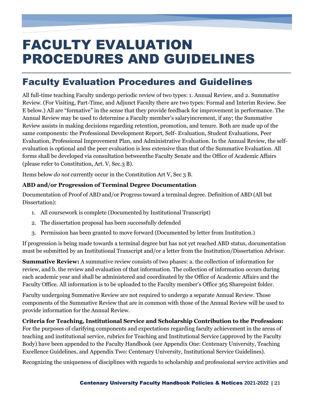# <span id="page-20-0"></span>FACULTY EVALUATION PROCEDURES AND GUIDELINES

# <span id="page-20-1"></span>Faculty Evaluation Procedures and Guidelines

All full-time teaching Faculty undergo periodic review of two types: 1. Annual Review, and 2. Summative Review. (For Visiting, Part-Time, and Adjunct Faculty there are two types: Formal and Interim Review. See E below.) All are "formative" in the sense that they provide feedback for improvement in performance. The Annual Review may be used to determine a Faculty member's salaryincrement, if any; the Summative Review assists in making decisions regarding retention, promotion, and tenure. Both are made up of the same components: the Professional Development Report, Self- Evaluation, Student Evaluations, Peer Evaluation, Professional Improvement Plan, and Administrative Evaluation. In the Annual Review, the selfevaluation is optional and the peer evaluation is less extensive than that of the Summative Evaluation. All forms shall be developed via consultation betweenthe Faculty Senate and the Office of Academic Affairs (please refer to Constitution, Art. V, Sec.3 B).

Items below *do not* currently occur in the Constitution Art V, Sec 3 B.

#### **ABD and/or Progression of Terminal Degree Documentation**

Documentation of Proof of ABD and/or Progress toward a terminal degree. Definition of ABD (All but Dissertation):

- 1. All coursework is complete (Documented by Institutional Transcript)
- 2. The dissertation proposal has been successfully defended
- 3. Permission has been granted to move forward (Documented by letter from Institution.)

If progression is being made towards a terminal degree but has not yet reached ABD status, documentation must be submitted by an Institutional Transcript and/or a letter from the Institution/Dissertation Advisor.

**Summative Review:** A summative review consists of two phases: a. the collection of information for review, and b. the review and evaluation of that information. The collection of information occurs during each academic year and shall be administered and coordinated by the Office of Academic Affairs and the Faculty Office. All information is to be uploaded to the Faculty member's Office 365 Sharepoint folder.

Faculty undergoing Summative Review are not required to undergo a separate Annual Review. Those components of the Summative Review that are in common with those of the Annual Review will be used to provide information for the Annual Review.

#### **Criteria for Teaching, Institutional Service and Scholarship Contribution to the Profession:**

For the purposes of clarifying components and expectations regarding faculty achievement in the areas of teaching and institutional service, rubrics for Teaching and Institutional Service (approved by the Faculty Body) have been appended to the Faculty Handbook (see Appendix One: Centenary University, Teaching Excellence Guidelines, and Appendix Two: Centenary University, Institutional Service Guidelines).

Recognizing the uniqueness of disciplines with regards to scholarship and professional service activities and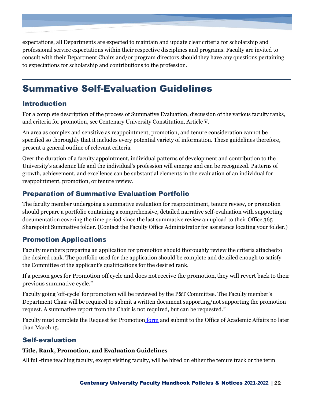expectations, all Departments are expected to maintain and update clear criteria for scholarship and professional service expectations within their respective disciplines and programs. Faculty are invited to consult with their Department Chairs and/or program directors should they have any questions pertaining to expectations for scholarship and contributions to the profession.

# <span id="page-21-0"></span>Summative Self-Evaluation Guidelines

# <span id="page-21-1"></span>Introduction

For a complete description of the process of Summative Evaluation, discussion of the various faculty ranks, and criteria for promotion, see Centenary University Constitution, Article V.

An area as complex and sensitive as reappointment, promotion, and tenure consideration cannot be specified so thoroughly that it includes every potential variety of information. These guidelines therefore, present a general outline of relevant criteria.

Over the duration of a faculty appointment, individual patterns of development and contribution to the University's academic life and the individual's profession will emerge and can be recognized. Patterns of growth, achievement, and excellence can be substantial elements in the evaluation of an individual for reappointment, promotion, or tenure review.

# <span id="page-21-2"></span>Preparation of Summative Evaluation Portfolio

The faculty member undergoing a summative evaluation for reappointment, tenure review, or promotion should prepare a portfolio containing a comprehensive, detailed narrative self-evaluation with supporting documentation covering the time period since the last summative review an upload to their Office 365 Sharepoint Summative folder. (Contact the Faculty Office Administrator for assistance locating your folder.)

## <span id="page-21-3"></span>Promotion Applications

Faculty members preparing an application for promotion should thoroughly review the criteria attachedto the desired rank. The portfolio used for the application should be complete and detailed enough to satisfy the Committee of the applicant's qualifications for the desired rank.

If a person goes for Promotion off cycle and does not receive the promotion, they will revert back to their previous summative cycle."

Faculty going 'off-cycle' for promotion will be reviewed by the P&T Committee. The Faculty member's Department Chair will be required to submit a written document supporting/not supporting the promotion request. A summative report from the Chair is not required, but can be requested."

Faculty must complete the Request for Promotion [form](https://centenaryuniversity.sharepoint.com/:w:/g/AA/EahOa5I8zqlCllo0g4CXj08BqMiwp9UReIpJQZHlEpI2Yw?e=Sp8ayZ) and submit to the Office of Academic Affairs no later than March 15.

## <span id="page-21-4"></span>Self-evaluation

#### **Title, Rank, Promotion, and Evaluation Guidelines**

All full-time teaching faculty, except visiting faculty, will be hired on either the tenure track or the term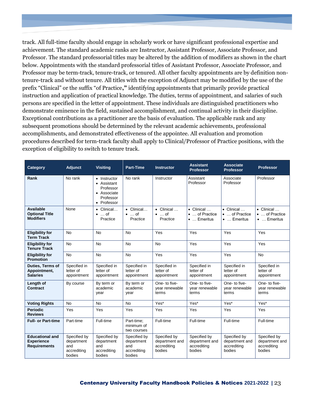track. All full-time faculty should engage in scholarly work or have significant professional expertise and achievement. The standard academic ranks are Instructor, Assistant Professor, Associate Professor, and Professor. The standard professorial titles may be altered by the addition of modifiers as shown in the chart below. Appointments with the standard professorial titles of Assistant Professor, Associate Professor, and Professor may be term-track, tenure-track, or tenured. All other faculty appointments are by definition nontenure-track and without tenure. All titles with the exception of Adjunct may be modified by the use of the prefix "Clinical" or the suffix "of Practice**,"** identifying appointments that primarily provide practical instruction and application of practical knowledge. The duties, terms of appointment, and salaries of such persons are specified in the letter of appointment. These individuals are distinguished practitioners who demonstrate eminence in the field, sustained accomplishment, and continual activity in their discipline. Exceptional contributions as a practitioner are the basis of evaluation. The applicable rank and any subsequent promotions should be determined by the relevant academic achievements, professional accomplishments, and demonstrated effectiveness of the appointee. All evaluation and promotion procedures described for term-track faculty shall apply to Clinical/Professor of Practice positions, with the exception of eligibility to switch to tenure track.

| <b>Category</b>                                                    | Adjunct                                                    | <b>Visitina</b>                                                                     | <b>Part-Time</b>                                           | <b>Instructor</b>                                       | <b>Assistant</b><br><b>Professor</b>                       | <b>Associate</b><br><b>Professor</b>                       | <b>Professor</b>                                           |
|--------------------------------------------------------------------|------------------------------------------------------------|-------------------------------------------------------------------------------------|------------------------------------------------------------|---------------------------------------------------------|------------------------------------------------------------|------------------------------------------------------------|------------------------------------------------------------|
| Rank                                                               | No rank                                                    | • Instructor<br>• Assistant<br>Professor<br>• Associate<br>Professor<br>• Professor | No rank                                                    | Instructor                                              | Assistant<br>Professor                                     | Associate<br>Professor                                     | Professor                                                  |
| Available<br><b>Optional Title</b><br><b>Modifiers</b>             | None                                                       | $\bullet$ Clinical<br>$\bullet$ of<br>Practice                                      | • Clinical<br>$\bullet$ of<br>Practice                     | $\bullet$ Clinical<br>$\bullet$ of<br>Practice          | $\bullet$ Clinical<br>•  of Practice<br>$\bullet$ Emeritus | $\bullet$ Clinical<br>•  of Practice<br>$\bullet$ Emeritus | $\bullet$ Clinical<br>•  of Practice<br>$\bullet$ Emeritus |
| <b>Eligibility for</b><br><b>Term Track</b>                        | <b>No</b>                                                  | <b>No</b>                                                                           | <b>No</b>                                                  | Yes                                                     | Yes                                                        | Yes                                                        | Yes                                                        |
| <b>Eligibility for</b><br><b>Tenure Track</b>                      | <b>No</b>                                                  | <b>No</b>                                                                           | <b>No</b>                                                  | <b>No</b>                                               | Yes                                                        | Yes                                                        | Yes                                                        |
| <b>Eligibility for</b><br><b>Promotion</b>                         | <b>No</b>                                                  | <b>No</b>                                                                           | <b>No</b>                                                  | Yes                                                     | Yes                                                        | Yes                                                        | <b>No</b>                                                  |
| <b>Duties, Terms of</b><br>Appointment,<br><b>Salaries</b>         | Specified in<br>letter of<br>appointment                   | Specified in<br>letter of<br>appointment                                            | Specified in<br>letter of<br>appointment                   | Specified in<br>letter of<br>appointment                | Specified in<br>letter of<br>appointment                   | Specified in<br>letter of<br>appointment                   | Specified in<br>letter of<br>appointment                   |
| Length of<br>Contract                                              | By course                                                  | By term or<br>academic<br>year                                                      | By term or<br>academic<br>year                             | One- to five-<br>year renewable<br>terms                | One- to five-<br>year renewable<br>terms                   | One- to five-<br>year renewable<br>terms                   | One- to five-<br>year renewable<br>terms                   |
| <b>Voting Rights</b>                                               | <b>No</b>                                                  | <b>No</b>                                                                           | <b>No</b>                                                  | Yes*                                                    | Yes*                                                       | Yes*                                                       | Yes*                                                       |
| <b>Periodic</b><br><b>Reviews</b>                                  | Yes                                                        | Yes                                                                                 | Yes                                                        | Yes                                                     | Yes                                                        | Yes                                                        | Yes                                                        |
| <b>Full- or Part-time</b>                                          | Part-time                                                  | Full-time                                                                           | Part-time:<br>minimum of<br>two courses                    | Full-time                                               | Full-time                                                  | Full-time                                                  | Full-time                                                  |
| <b>Educational and</b><br><b>Experience</b><br><b>Requirements</b> | Specified by<br>department<br>and<br>accrediting<br>bodies | Specified by<br>department<br>and<br>accrediting<br>bodies                          | Specified by<br>department<br>and<br>accrediting<br>bodies | Specified by<br>department and<br>accrediting<br>bodies | Specified by<br>department and<br>accrediting<br>bodies    | Specified by<br>department and<br>accrediting<br>bodies    | Specified by<br>department and<br>accrediting<br>bodies    |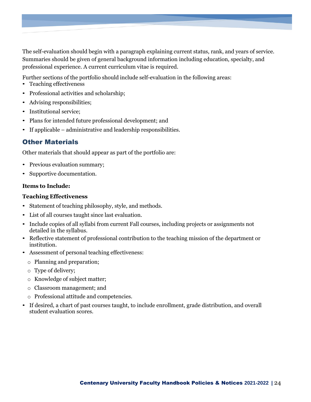The self-evaluation should begin with a paragraph explaining current status, rank, and years of service. Summaries should be given of general background information including education, specialty, and professional experience. A current curriculum vitae is required.

Further sections of the portfolio should include self-evaluation in the following areas:

- Teaching effectiveness
- Professional activities and scholarship;
- Advising responsibilities;
- Institutional service;
- Plans for intended future professional development; and
- If applicable administrative and leadership responsibilities.

### <span id="page-23-0"></span>Other Materials

Other materials that should appear as part of the portfolio are:

- Previous evaluation summary;
- Supportive documentation.

#### **Items to Include:**

#### **Teaching Effectiveness**

- Statement of teaching philosophy, style, and methods.
- List of all courses taught since last evaluation.
- Include copies of all syllabi from current Fall courses, including projects or assignments not detailed in the syllabus.
- Reflective statement of professional contribution to the teaching mission of the department or institution.
- Assessment of personal teaching effectiveness:
	- o Planning and preparation;
	- o Type of delivery;
	- o Knowledge of subject matter;
	- o Classroom management; and
	- o Professional attitude and competencies.
- If desired, a chart of past courses taught, to include enrollment, grade distribution, and overall student evaluation scores.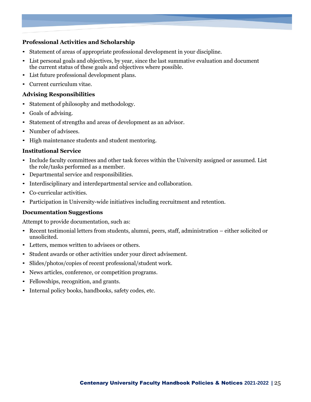#### **Professional Activities and Scholarship**

- Statement of areas of appropriate professional development in your discipline.
- List personal goals and objectives, by year, since the last summative evaluation and document the current status of these goals and objectives where possible.
- List future professional development plans.
- Current curriculum vitae.

#### **Advising Responsibilities**

- Statement of philosophy and methodology.
- Goals of advising.
- Statement of strengths and areas of development as an advisor.
- Number of advisees.
- High maintenance students and student mentoring.

#### **Institutional Service**

- Include faculty committees and other task forces within the University assigned or assumed. List the role/tasks performed as a member.
- Departmental service and responsibilities.
- Interdisciplinary and interdepartmental service and collaboration.
- Co-curricular activities.
- Participation in University-wide initiatives including recruitment and retention.

#### **Documentation Suggestions**

Attempt to provide documentation, such as:

- Recent testimonial letters from students, alumni, peers, staff, administration either solicited or unsolicited.
- Letters, memos written to advisees or others.
- Student awards or other activities under your direct advisement.
- Slides/photos/copies of recent professional/student work.
- News articles, conference, or competition programs.
- Fellowships, recognition, and grants.
- Internal policy books, handbooks, safety codes, etc.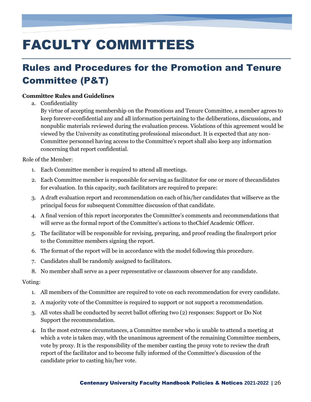# <span id="page-25-0"></span>FACULTY COMMITTEES

# <span id="page-25-1"></span>Rules and Procedures for the Promotion and Tenure Committee (P&T)

#### **Committee Rules and Guidelines**

a. Confidentiality

By virtue of accepting membership on the Promotions and Tenure Committee, a member agrees to keep forever-confidential any and all information pertaining to the deliberations, discussions, and nonpublic materials reviewed during the evaluation process. Violations of this agreement would be viewed by the University as constituting professional misconduct. It is expected that any non-Committee personnel having access to the Committee's report shall also keep any information concerning that report confidential.

Role of the Member:

- 1. Each Committee member is required to attend all meetings.
- 2. Each Committee member is responsible for serving as facilitator for one or more of thecandidates for evaluation. In this capacity, such facilitators are required to prepare:
- 3. A draft evaluation report and recommendation on each of his/her candidates that willserve as the principal focus for subsequent Committee discussion of that candidate.
- 4. A final version of this report incorporates the Committee's comments and recommendations that will serve as the formal report of the Committee's actions to theChief Academic Officer.
- 5. The facilitator will be responsible for revising, preparing, and proof reading the finalreport prior to the Committee members signing the report.
- 6. The format of the report will be in accordance with the model following this procedure.
- 7. Candidates shall be randomly assigned to facilitators.
- 8. No member shall serve as a peer representative or classroom observer for any candidate.

Voting:

- 1. All members of the Committee are required to vote on each recommendation for every candidate.
- 2. A majority vote of the Committee is required to support or not support a recommendation.
- 3. All votes shall be conducted by secret ballot offering two (2) responses: Support or Do Not Support the recommendation.
- 4. In the most extreme circumstances, a Committee member who is unable to attend a meeting at which a vote is taken may, with the unanimous agreement of the remaining Committee members, vote by proxy. It is the responsibility of the member casting the proxy vote to review the draft report of the facilitator and to become fully informed of the Committee's discussion of the candidate prior to casting his/her vote.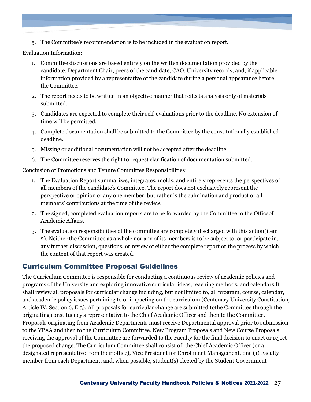5. The Committee's recommendation is to be included in the evaluation report.

Evaluation Information:

- 1. Committee discussions are based entirely on the written documentation provided by the candidate, Department Chair, peers of the candidate, CAO, University records, and, if applicable information provided by a representative of the candidate during a personal appearance before the Committee.
- 2. The report needs to be written in an objective manner that reflects analysis only of materials submitted.
- 3. Candidates are expected to complete their self-evaluations prior to the deadline. No extension of time will be permitted.
- 4. Complete documentation shall be submitted to the Committee by the constitutionally established deadline.
- 5. Missing or additional documentation will not be accepted after the deadline.
- 6. The Committee reserves the right to request clarification of documentation submitted.

Conclusion of Promotions and Tenure Committee Responsibilities:

- 1. The Evaluation Report summarizes, integrates, molds, and entirely represents the perspectives of all members of the candidate's Committee. The report does not exclusively represent the perspective or opinion of any one member, but rather is the culmination and product of all members' contributions at the time of the review.
- 2. The signed, completed evaluation reports are to be forwarded by the Committee to the Officeof Academic Affairs.
- 3. The evaluation responsibilities of the committee are completely discharged with this action(item 2). Neither the Committee as a whole nor any of its members is to be subject to, or participate in, any further discussion, questions, or review of either the complete report or the process by which the content of that report was created.

### <span id="page-26-0"></span>Curriculum Committee Proposal Guidelines

The Curriculum Committee is responsible for conducting a continuous review of academic policies and programs of the University and exploring innovative curricular ideas, teaching methods, and calendars.It shall review all proposals for curricular change including, but not limited to, all program, course, calendar, and academic policy issues pertaining to or impacting on the curriculum (Centenary University Constitution, Article IV, Section 6, E,3). All proposals for curricular change are submitted tothe Committee through the originating constituency's representative to the Chief Academic Officer and then to the Committee. Proposals originating from Academic Departments must receive Departmental approval prior to submission to the VPAA and then to the Curriculum Committee. New Program Proposals and New Course Proposals receiving the approval of the Committee are forwarded to the Faculty for the final decision to enact or reject the proposed change. The Curriculum Committee shall consist of: the Chief Academic Officer (or a designated representative from their office), Vice President for Enrollment Management, one (1) Faculty member from each Department, and, when possible, student(s) elected by the Student Government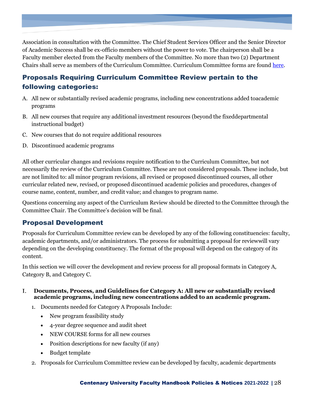Association in consultation with the Committee. The Chief Student Services Officer and the Senior Director of Academic Success shall be ex-officio members without the power to vote. The chairperson shall be a Faculty member elected from the Faculty members of the Committee. No more than two (2) Department Chairs shall serve as members of the Curriculum Committee. Curriculum Committee forms are found [here.](https://centenaryuniversity.sharepoint.com/:f:/g/AA/EmEn-giqzH5FnubELQ13zh0BLT92-LqCHbj7drlLMmRSqQ?e=asrXbH)

# <span id="page-27-0"></span>Proposals Requiring Curriculum Committee Review pertain to the following categories:

- A. All new or substantially revised academic programs, including new concentrations added toacademic programs
- B. All new courses that require any additional investment resources (beyond the fixeddepartmental instructional budget)
- C. New courses that do not require additional resources
- D. Discontinued academic programs

All other curricular changes and revisions require notification to the Curriculum Committee, but not necessarily the review of the Curriculum Committee. These are not considered proposals. These include, but are not limited to: all minor program revisions, all revised or proposed discontinued courses, all other curricular related new, revised, or proposed discontinued academic policies and procedures, changes of course name, content, number, and credit value; and changes to program name.

Questions concerning any aspect of the Curriculum Review should be directed to the Committee through the Committee Chair. The Committee's decision will be final.

## <span id="page-27-1"></span>Proposal Development

Proposals for Curriculum Committee review can be developed by any of the following constituencies: faculty, academic departments, and/or administrators. The process for submitting a proposal for reviewwill vary depending on the developing constituency. The format of the proposal will depend on the category of its content.

In this section we will cover the development and review process for all proposal formats in Category A, Category B, and Category C.

- Ι. **Documents, Process, and Guidelines for Category A: All new or substantially revised academic programs, including new concentrations added to an academic program.**
	- 1. Documents needed for Category A Proposals Include:
		- New program feasibility study
		- 4-year degree sequence and audit sheet
		- NEW COURSE forms for all new courses
		- Position descriptions for new faculty (if any)
		- Budget template
	- 2. Proposals for Curriculum Committee review can be developed by faculty, academic departments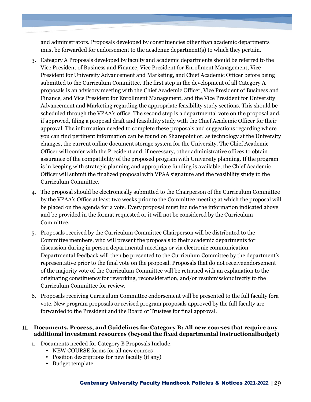and administrators. Proposals developed by constituencies other than academic departments must be forwarded for endorsement to the academic department(s) to which they pertain.

- 3. Category A Proposals developed by faculty and academic departments should be referred to the Vice President of Business and Finance, Vice President for Enrollment Management, Vice President for University Advancement and Marketing, and Chief Academic Officer before being submitted to the Curriculum Committee. The first step in the development of all Category A proposals is an advisory meeting with the Chief Academic Officer, Vice President of Business and Finance, and Vice President for Enrollment Management, and the Vice President for University Advancement and Marketing regarding the appropriate feasibility study sections. This should be scheduled through the VPAA's office. The second step is a departmental vote on the proposal and, if approved, filing a proposal draft and feasibility study with the Chief Academic Officer for their approval. The information needed to complete these proposals and suggestions regarding where you can find pertinent information can be found on Sharepoint or, as technology at the University changes, the current online document storage system for the University. The Chief Academic Officer will confer with the President and, if necessary, other administrative offices to obtain assurance of the compatibility of the proposed program with University planning. If the program is in keeping with strategic planning and appropriate funding is available, the Chief Academic Officer will submit the finalized proposal with VPAA signature and the feasibility study to the Curriculum Committee.
- 4. The proposal should be electronically submitted to the Chairperson of the Curriculum Committee by the VPAA's Office at least two weeks prior to the Committee meeting at which the proposal will be placed on the agenda for a vote. Every proposal must include the information indicated above and be provided in the format requested or it will not be considered by the Curriculum Committee.
- 5. Proposals received by the Curriculum Committee Chairperson will be distributed to the Committee members, who will present the proposals to their academic departments for discussion during in person departmental meetings or via electronic communication. Departmental feedback will then be presented to the Curriculum Committee by the department's representative prior to the final vote on the proposal. Proposals that do not receiveendorsement of the majority vote of the Curriculum Committee will be returned with an explanation to the originating constituency for reworking, reconsideration, and/or resubmissiondirectly to the Curriculum Committee for review.
- 6. Proposals receiving Curriculum Committee endorsement will be presented to the full faculty fora vote. New program proposals or revised program proposals approved by the full faculty are forwarded to the President and the Board of Trustees for final approval.

#### **Documents, Process, and Guidelines for Category B: All new courses that require any additional investment resources (beyond the fixed departmental instructionalbudget)**

- 1. Documents needed for Category B Proposals Include:
	- NEW COURSE forms for all new courses
	- Position descriptions for new faculty (if any)
	- Budget template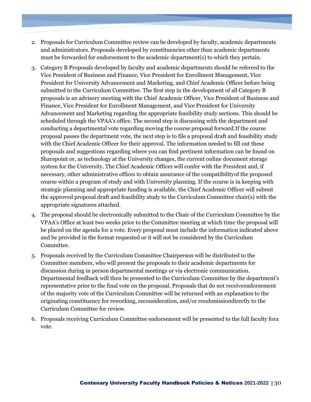- 2. Proposals for Curriculum Committee review can be developed by faculty, academic departments and administrators. Proposals developed by constituencies other than academic departments must be forwarded for endorsement to the academic department(s) to which they pertain.
- 3. Category B Proposals developed by faculty and academic departments should be referred to the Vice President of Business and Finance, Vice President for Enrollment Management, Vice President for University Advancement and Marketing, and Chief Academic Officer before being submitted to the Curriculum Committee. The first step in the development of all Category B proposals is an advisory meeting with the Chief Academic Officer, Vice President of Business and Finance, Vice President for Enrollment Management, and Vice President for University Advancement and Marketing regarding the appropriate feasibility study sections. This should be scheduled through the VPAA's office. The second step is discussing with the department and conducting a departmental vote regarding moving the course proposal forward.If the course proposal passes the department vote, the next step is to file a proposal draft and feasibility study with the Chief Academic Officer for their approval. The information needed to fill out these proposals and suggestions regarding where you can find pertinent information can be found on Sharepoint or, as technology at the University changes, the current online document storage system for the University. The Chief Academic Officer will confer with the President and, if necessary, other administrative offices to obtain assurance of the compatibilityof the proposed course within a program of study and with University planning. If the course is in keeping with strategic planning and appropriate funding is available, the Chief Academic Officer will submit the approved proposal draft and feasibility study to the Curriculum Committee chair(s) with the appropriate signatures attached.
- 4. The proposal should be electronically submitted to the Chair of the Curriculum Committee by the VPAA's Office at least two weeks prior to the Committee meeting at which time the proposal will be placed on the agenda for a vote. Every proposal must include the information indicated above and be provided in the format requested or it will not be considered by the Curriculum Committee.
- 5. Proposals received by the Curriculum Committee Chairperson will be distributed to the Committee members, who will present the proposals to their academic departments for discussion during in person departmental meetings or via electronic communication. Departmental feedback will then be presented to the Curriculum Committee by the department's representative prior to the final vote on the proposal. Proposals that do not receiveendorsement of the majority vote of the Curriculum Committee will be returned with an explanation to the originating constituency for reworking, reconsideration, and/or resubmissiondirectly to the Curriculum Committee for review.
- 6. Proposals receiving Curriculum Committee endorsement will be presented to the full faculty fora vote.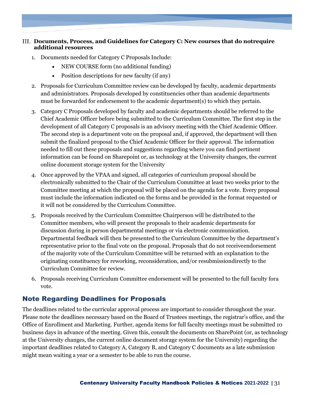#### **Documents, Process, and Guidelines for Category C: New courses that do notrequire additional resources**

- 1. Documents needed for Category C Proposals Include:
	- NEW COURSE form (no additional funding)
	- Position descriptions for new faculty (if any)
- 2. Proposals for Curriculum Committee review can be developed by faculty, academic departments and administrators. Proposals developed by constituencies other than academic departments must be forwarded for endorsement to the academic department(s) to which they pertain.
- 3. Category C Proposals developed by faculty and academic departments should be referred to the Chief Academic Officer before being submitted to the Curriculum Committee. The first step in the development of all Category C proposals is an advisory meeting with the Chief Academic Officer. The second step is a department vote on the proposal and, if approved, the department will then submit the finalized proposal to the Chief Academic Officer for their approval. The information needed to fill out these proposals and suggestions regarding where you can find pertinent information can be found on Sharepoint or, as technology at the University changes, the current online document storage system for the University
- 4. Once approved by the VPAA and signed, all categories of curriculum proposal should be electronically submitted to the Chair of the Curriculum Committee at least two weeks prior to the Committee meeting at which the proposal will be placed on the agenda for a vote. Every proposal must include the information indicated on the forms and be provided in the format requested or it will not be considered by the Curriculum Committee.
- 5. Proposals received by the Curriculum Committee Chairperson will be distributed to the Committee members, who will present the proposals to their academic departments for discussion during in person departmental meetings or via electronic communication. Departmental feedback will then be presented to the Curriculum Committee by the department's representative prior to the final vote on the proposal. Proposals that do not receiveendorsement of the majority vote of the Curriculum Committee will be returned with an explanation to the originating constituency for reworking, reconsideration, and/or resubmissiondirectly to the Curriculum Committee for review.
- 6. Proposals receiving Curriculum Committee endorsement will be presented to the full faculty fora vote.

## <span id="page-30-0"></span>Note Regarding Deadlines for Proposals

The deadlines related to the curricular approval process are important to consider throughout the year. Please note the deadlines necessary based on the Board of Trustees meetings, the registrar's office, and the Office of Enrollment and Marketing. Further, agenda items for full faculty meetings must be submitted 10 business days in advance of the meeting. Given this, consult the documents on SharePoint (or, as technology at the University changes, the current online document storage system for the University) regarding the important deadlines related to Category A, Category B, and Category C documents as a late submission might mean waiting a year or a semester to be able to run the course.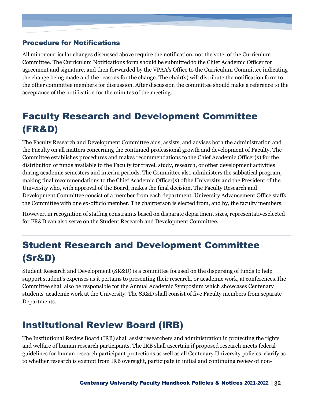# <span id="page-31-0"></span>Procedure for Notifications

All minor curricular changes discussed above require the notification, not the vote, of the Curriculum Committee. The Curriculum Notifications form should be submitted to the Chief Academic Officer for agreement and signature, and then forwarded by the VPAA's Office to the Curriculum Committee indicating the change being made and the reasons for the change. The chair(s) will distribute the notification form to the other committee members for discussion. After discussion the committee should make a reference to the acceptance of the notification for the minutes of the meeting.

# <span id="page-31-1"></span>Faculty Research and Development Committee (FR&D)

The Faculty Research and Development Committee aids, assists, and advises both the administration and the Faculty on all matters concerning the continued professional growth and development of Faculty. The Committee establishes procedures and makes recommendations to the Chief Academic Officer(s) for the distribution of funds available to the Faculty for travel, study, research, or other development activities during academic semesters and interim periods. The Committee also administers the sabbatical program, making final recommendations to the Chief Academic Officer(s) ofthe University and the President of the University who, with approval of the Board, makes the final decision. The Faculty Research and Development Committee consist of a member from each department. University Advancement Office staffs the Committee with one ex-officio member. The chairperson is elected from, and by, the faculty members.

However, in recognition of staffing constraints based on disparate department sizes, representativeselected for FR&D can also serve on the Student Research and Development Committee.

# <span id="page-31-2"></span>Student Research and Development Committee (Sr&D)

Student Research and Development (SR&D) is a committee focused on the dispersing of funds to help support student's expenses as it pertains to presenting their research, or academic work, at conferences.The Committee shall also be responsible for the Annual Academic Symposium which showcases Centenary students' academic work at the University. The SR&D shall consist of five Faculty members from separate Departments.

# <span id="page-31-3"></span>Institutional Review Board (IRB)

The Institutional Review Board (IRB) shall assist researchers and administration in protecting the rights and welfare of human research participants. The IRB shall ascertain if proposed research meets federal guidelines for human research participant protections as well as all Centenary University policies, clarify as to whether research is exempt from IRB oversight, participate in initial and continuing review of non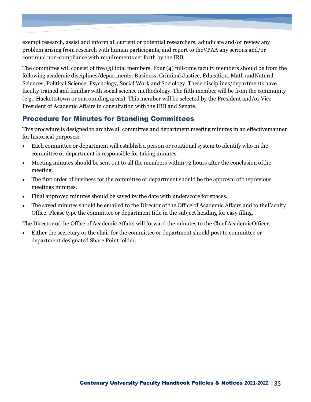exempt research, assist and inform all current or potential researchers, adjudicate and/or review any problem arising from research with human participants, and report to theVPAA any serious and/or continual non-compliance with requirements set forth by the IRB.

The committee will consist of five (5) total members. Four (4) full-time faculty members should be from the following academic disciplines/departments: Business, Criminal Justice, Education, Math andNatural Sciences, Political Science, Psychology, Social Work and Sociology. These disciplines/departments have faculty trained and familiar with social science methodology. The fifth member will be from the community (e.g., Hackettstown or surrounding areas). This member will be selected by the President and/or Vice President of Academic Affairs in consultation with the IRB and Senate.

## <span id="page-32-0"></span>Procedure for Minutes for Standing Committees

This procedure is designed to archive all committee and department meeting minutes in an effectivemanner for historical purposes:

- Each committee or department will establish a person or rotational system to identify who in the committee or department is responsible for taking minutes.
- Meeting minutes should be sent out to all the members within 72 hours after the conclusion of the meeting.
- The first order of business for the committee or department should be the approval of theprevious meetings minutes.
- Final approved minutes should be saved by the date with underscore for spaces.
- The saved minutes should be emailed to the Director of the Office of Academic Affairs and to the Faculty Office. Please type the committee or department title in the subject heading for easy filing.

The Director of the Office of Academic Affairs will forward the minutes to the Chief AcademicOfficer.

• Either the secretary or the chair for the committee or department should post to committee or department designated Share Point folder.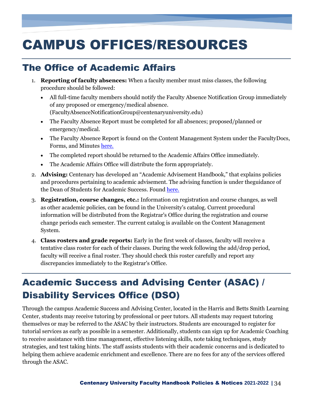# <span id="page-33-0"></span>CAMPUS OFFICES/RESOURCES

# <span id="page-33-1"></span>The Office of Academic Affairs

- 1. **Reporting of faculty absences:** When a faculty member must miss classes, the following procedure should be followed:
	- All full-time faculty members should notify the Faculty Absence Notification Group immediately of any proposed or emergency/medical absence. [\(FacultyAbsenceNotificationGroup@centenaryuniversity.edu\)](mailto:FacultyAbsenceNotificationGroup@centenaryuniversity.edu)
	- The Faculty Absence Report must be completed for all absences; proposed/planned or emergency/medical.
	- The Faculty Absence Report is found on the Content Management System under the FacultyDocs, Forms, and Minutes [here.](https://centenaryuniversity.sharepoint.com/:f:/g/AA/EoMlD8-B9kFDs_UcFL7TfgABAVdfr0cOPmZ1VW_LL8Fx0g?e=fWtoVH)
	- The completed report should be returned to the Academic Affairs Office immediately.
	- The Academic Affairs Office will distribute the form appropriately.
- 2. **Advising:** Centenary has developed an "Academic Advisement Handbook," that explains policies and procedures pertaining to academic advisement. The advising function is under theguidance of the Dean of Students for Academic Success. Found [here.](https://centenaryuniversity.sharepoint.com/:f:/g/AA/Ei3jHej7VKtJmgCcxO0jEAYBUVZX6wNrTRmWcFLrwHs7BQ?e=YmShGS)
- 3. **Registration, course changes, etc.:** Information on registration and course changes, as well as other academic policies, can be found in the University's catalog. Current procedural information will be distributed from the Registrar's Office during the registration and course change periods each semester. The current catalog is available on the Content Management System.
- 4. **Class rosters and grade reports:** Early in the first week of classes, faculty will receive a tentative class roster for each of their classes. During the week following the add/drop period, faculty will receive a final roster. They should check this roster carefully and report any discrepancies immediately to the Registrar's Office.

# <span id="page-33-2"></span>Academic Success and Advising Center (ASAC) / Disability Services Office (DSO)

Through the campus Academic Success and Advising Center, located in the Harris and Betts Smith Learning Center, students may receive tutoring by professional or peer tutors. All students may request tutoring themselves or may be referred to the ASAC by their instructors. Students are encouraged to register for tutorial services as early as possible in a semester. Additionally, students can sign up for Academic Coaching to receive assistance with time management, effective listening skills, note taking techniques, study strategies, and test taking hints. The staff assists students with their academic concerns and is dedicated to helping them achieve academic enrichment and excellence. There are no fees for any of the services offered through the ASAC.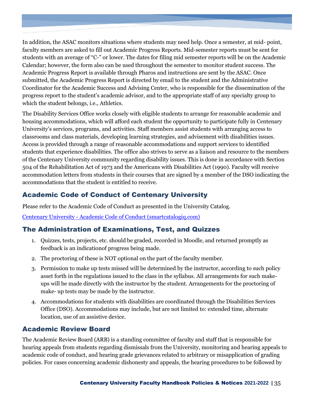In addition, the ASAC monitors situations where students may need help. Once a semester, at mid- point, faculty members are asked to fill out Academic Progress Reports. Mid-semester reports must be sent for students with an average of "C-" or lower. The dates for filing mid semester reports will be on the Academic Calendar; however, the form also can be used throughout the semester to monitor student success. The Academic Progress Report is available through Pharos and instructions are sent by the ASAC. Once submitted, the Academic Progress Report is directed by email to the student and the Administrative Coordinator for the Academic Success and Advising Center, who is responsible for the dissemination of the progress report to the student's academic advisor, and to the appropriate staff of any specialty group to which the student belongs, i.e., Athletics.

The Disability Services Office works closely with eligible students to arrange for reasonable academic and housing accommodations, which will afford each student the opportunity to participate fully in Centenary University's services, programs, and activities. Staff members assist students with arranging access to classrooms and class materials, developing learning strategies, and advisement with disabilities issues. Access is provided through a range of reasonable accommodations and support services to identified students that experience disabilities. The office also strives to serve as a liaison and resource to the members of the Centenary University community regarding disability issues. This is done in accordance with Section 504 of the Rehabilitation Act of 1973 and the Americans with Disabilities Act (1990). Faculty will receive accommodation letters from students in their courses that are signed by a member of the DSO indicating the accommodations that the student is entitled to receive.

# <span id="page-34-0"></span>Academic Code of Conduct of Centenary University

Please refer to the Academic Code of Conduct as presented in the University Catalog.

Centenary University - [Academic Code of Conduct \(smartcatalogiq.com\)](https://centenaryuniversity.smartcatalogiq.com/en/2020-2021/Undergraduate-Catalog/Academic-Policies/Academic-Code-of-Conduct)

## <span id="page-34-1"></span>The Administration of Examinations, Test, and Quizzes

- 1. Quizzes, tests, projects, etc. should be graded, recorded in Moodle, and returned promptly as feedback is an indicationof progress being made.
- 2. The proctoring of these is NOT optional on the part of the faculty member.
- 3. Permission to make up tests missed will be determined by the instructor, according to such policy asset forth in the regulations issued to the class in the syllabus. All arrangements for such makeups will be made directly with the instructor by the student. Arrangements for the proctoring of make- up tests may be made by the instructor.
- 4. Accommodations for students with disabilities are coordinated through the Disabilities Services Office (DSO). Accommodations may include, but are not limited to: extended time, alternate location, use of an assistive device.

## <span id="page-34-2"></span>Academic Review Board

The Academic Review Board (ARB) is a standing committee of faculty and staff that is responsible for hearing appeals from students regarding dismissals from the University, monitoring and hearing appeals to academic code of conduct, and hearing grade grievances related to arbitrary or misapplication of grading policies. For cases concerning academic dishonesty and appeals, the hearing procedures to be followed by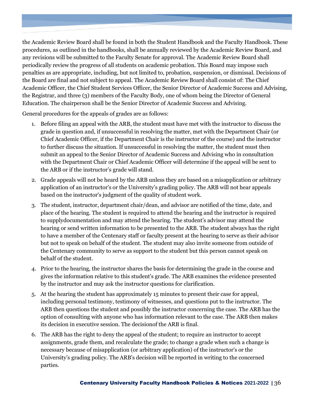the Academic Review Board shall be found in both the Student Handbook and the Faculty Handbook. These procedures, as outlined in the handbooks, shall be annually reviewed by the Academic Review Board, and any revisions will be submitted to the Faculty Senate for approval. The Academic Review Board shall periodically review the progress of all students on academic probation. This Board may impose such penalties as are appropriate, including, but not limited to, probation, suspension, or dismissal. Decisions of the Board are final and not subject to appeal. The Academic Review Board shall consist of: The Chief Academic Officer, the Chief Student Services Officer, the Senior Director of Academic Success and Advising, the Registrar, and three (3) members of the Faculty Body, one of whom being the Director of General Education. The chairperson shall be the Senior Director of Academic Success and Advising.

General procedures for the appeals of grades are as follows:

- 1. Before filing an appeal with the ARB, the student must have met with the instructor to discuss the grade in question and, if unsuccessful in resolving the matter, met with the Department Chair (or Chief Academic Officer, if the Department Chair is the instructor of the course) and the instructor to further discuss the situation. If unsuccessful in resolving the matter, the student must then submit an appeal to the Senior Director of Academic Success and Advising who in consultation with the Department Chair or Chief Academic Officer will determine if the appeal will be sent to the ARB or if the instructor's grade will stand.
- 2. Grade appeals will not be heard by the ARB unless they are based on a misapplication or arbitrary application of an instructor's or the University's grading policy. The ARB will not hear appeals based on the instructor's judgment of the quality of student work.
- 3. The student, instructor, department chair/dean, and advisor are notified of the time, date, and place of the hearing. The student is required to attend the hearing and the instructor is required to supplydocumentation and may attend the hearing. The student's advisor may attend the hearing or send written information to be presented to the ARB. The student always has the right to have a member of the Centenary staff or faculty present at the hearing to serve as their advisor but not to speak on behalf of the student. The student may also invite someone from outside of the Centenary community to serve as support to the student but this person cannot speak on behalf of the student.
- 4. Prior to the hearing, the instructor shares the basis for determining the grade in the course and gives the information relative to this student's grade. The ARB examines the evidence presented by the instructor and may ask the instructor questions for clarification.
- 5. At the hearing the student has approximately 15 minutes to present their case for appeal, including personal testimony, testimony of witnesses, and questions put to the instructor. The ARB then questions the student and possibly the instructor concerning the case. The ARB has the option of consulting with anyone who has information relevant to the case. The ARB then makes its decision in executive session. The decisionof the ARB is final.
- 6. The ARB has the right to deny the appeal of the student; to require an instructor to accept assignments, grade them, and recalculate the grade; to change a grade when such a change is necessary because of misapplication (or arbitrary application) of the instructor's or the University's grading policy. The ARB's decision will be reported in writing to the concerned parties.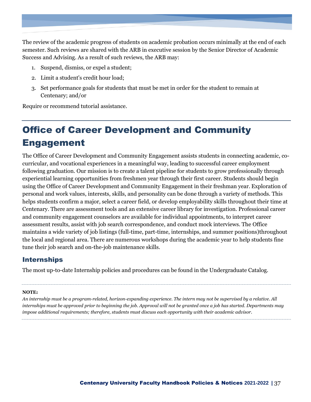The review of the academic progress of students on academic probation occurs minimally at the end of each semester. Such reviews are shared with the ARB in executive session by the Senior Director of Academic Success and Advising. As a result of such reviews, the ARB may:

- 1. Suspend, dismiss, or expel a student;
- 2. Limit a student's credit hour load;
- 3. Set performance goals for students that must be met in order for the student to remain at Centenary; and/or

Require or recommend tutorial assistance.

# <span id="page-36-0"></span>Office of Career Development and Community Engagement

The Office of Career Development and Community Engagement assists students in connecting academic, cocurricular, and vocational experiences in a meaningful way, leading to successful career employment following graduation. Our mission is to create a talent pipeline for students to grow professionally through experiential learning opportunities from freshmen year through their first career. Students should begin using the Office of Career Development and Community Engagement in their freshman year. Exploration of personal and work values, interests, skills, and personality can be done through a variety of methods. This helps students confirm a major, select a career field, or develop employability skills throughout their time at Centenary. There are assessment tools and an extensive career library for investigation. Professional career and community engagement counselors are available for individual appointments, to interpret career assessment results, assist with job search correspondence, and conduct mock interviews. The Office maintains a wide variety of job listings (full-time, part-time, internships, and summer positions)throughout the local and regional area. There are numerous workshops during the academic year to help students fine tune their job search and on-the-job maintenance skills.

### <span id="page-36-1"></span>Internships

The most up-to-date Internship policies and procedures can be found in the Undergraduate Catalog.

#### **NOTE:**

*An internship must be a program-related, horizon-expanding experience. The intern may not be supervised by a relative. All internships must be approved prior to beginning the job. Approval will not be granted once a job has started. Departments may impose additional requirements; therefore, students must discuss each opportunity with their academic advisor.*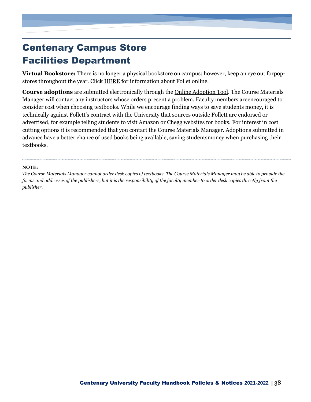# <span id="page-37-0"></span>Centenary Campus Store Facilities Department

**Virtual Bookstore:** There is no longer a physical bookstore on campus; however, keep an eye out forpopstores throughout the year. Click [HERE](https://centenaryuniversity.sharepoint.com/:b:/g/AA/EaO-tOJHe0FJhmjRwBMLaEwBl59wme_GN4fKUvlm5kEfKw?e=ia0ZGj) for information about Follet online.

**Course adoptions** are submitted electronically through th[e Online Adoption Tool.](https://www.bkstr.com/centenarystore/home) The Course Materials Manager will contact any instructors whose orders present a problem. Faculty members areencouraged to consider cost when choosing textbooks. While we encourage finding ways to save students money, it is technically against Follett's contract with the University that sources outside Follett are endorsed or advertised, for example telling students to visit Amazon or Chegg websites for books. For interest in cost cutting options it is recommended that you contact the Course Materials Manager. Adoptions submitted in advance have a better chance of used books being available, saving studentsmoney when purchasing their textbooks.

#### **NOTE:**

The Course Materials Manager cannot order desk copies of textbooks. The Course Materials Manager may be able to provide the *forms and addresses of the publishers, but it is the responsibility of the faculty member to order desk copies directly from the publisher.*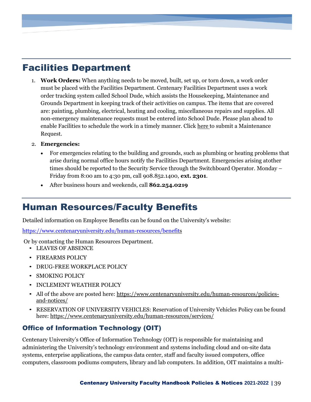# <span id="page-38-0"></span>Facilities Department

- 1. **Work Orders:** When anything needs to be moved, built, set up, or torn down, a work order must be placed with the Facilities Department. Centenary Facilities Department uses a work order tracking system called School Dude, which assists the Housekeeping, Maintenance and Grounds Department in keeping track of their activities on campus. The items that are covered are: painting, plumbing, electrical, heating and cooling, miscellaneous repairs and supplies. All non-emergency maintenance requests must be entered into School Dude. Please plan ahead to enable Facilities to schedule the work in a timely manner. Click [here](https://login.myschoolbuilding.com/msb?acctNum=874590208&productID=MD) to submit a Maintenance Request.
- 2. **Emergencies:**
	- For emergencies relating to the building and grounds, such as plumbing or heating problems that arise during normal office hours notify the Facilities Department. Emergencies arising atother times should be reported to the Security Service through the Switchboard Operator. Monday – Friday from 8:00 am to 4:30 pm, call 908.852.1400, **ext. 2301**.
	- After business hours and weekends, call **862.254.0219**

# <span id="page-38-1"></span>Human Resources/Faculty Benefits

Detailed information on Employee Benefits can be found on the University's website:

[https://www.centenaryuniversity.edu/human-resources/benefits](https://www.centenaryuniversity.edu/human-resources/benefit)

Or by contacting the Human Resources Department.

- LEAVES OF ABSENCE
- FIREARMS POLICY
- DRUG-FREE WORKPLACE POLICY
- SMOKING POLICY
- INCLEMENT WEATHER POLICY
- All of the above are posted here[: https://www.centenaryuniversity.edu/human-resources/policies](https://www.centenaryuniversity.edu/human-resources/policies-and-notices/)[and-notices/](https://www.centenaryuniversity.edu/human-resources/policies-and-notices/)
- RESERVATION OF UNIVERSITY VEHICLES: Reservation of University Vehicles Policy can be found here: <https://www.centenaryuniversity.edu/human-resources/services/>

## <span id="page-38-2"></span>Office of Information Technology (OIT)

Centenary University's Office of Information Technology (OIT) is responsible for maintaining and administering the University's technology environment and systems including cloud and on-site data systems, enterprise applications, the campus data center, staff and faculty issued computers, office computers, classroom podiums computers, library and lab computers. In addition, OIT maintains a multi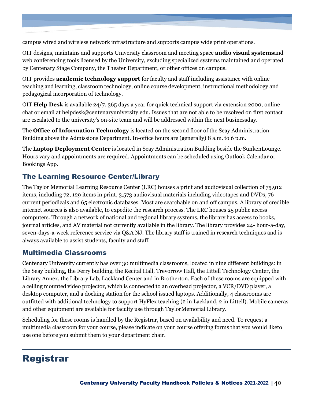campus wired and wireless network infrastructure and supports campus wide print operations.

OIT designs, maintains and supports University classroom and meeting space **audio visual systems**and web conferencing tools licensed by the University, excluding specialized systems maintained and operated by Centenary Stage Company, the Theater Department, or other offices on campus.

OIT provides **academic technology support** for faculty and staff including assistance with online teaching and learning, classroom technology, online course development, instructional methodology and pedagogical incorporation of technology.

OIT **Help Desk** is available 24/7, 365 days a year for quick technical support via extension 2000, online chat or email at [helpdesk@centenaryuniversity.edu.](mailto:helpdesk@centenaryuniversity.edu) Issues that are not able to be resolved on first contact are escalated to the university's on-site team and will be addressed within the next businessday.

The **Office of Information Technology** is located on the second floor of the Seay Administration Building above the Admissions Department. In-office hours are (generally) 8 a.m. to 6 p.m.

The **Laptop Deployment Center** is located in Seay Administration Building beside the SunkenLounge. Hours vary and appointments are required. Appointments can be scheduled using Outlook Calendar or Bookings App.

# <span id="page-39-0"></span>The Learning Resource Center/Library

The Taylor Memorial Learning Resource Center (LRC) houses a print and audiovisual collection of 75,912 items, including 72, 129 items in print, 3,573 audiovisual materials including videotapes and DVDs, 76 current periodicals and 65 electronic databases. Most are searchable on and off campus. A library of credible internet sources is also available, to expedite the research process. The LRC houses 25 public access computers. Through a network of national and regional library systems, the library has access to books, journal articles, and AV material not currently available in the library. The library provides 24- hour-a-day, seven-days-a-week reference service via Q&A NJ. The library staff is trained in research techniques and is always available to assist students, faculty and staff.

### <span id="page-39-1"></span>Multimedia Classrooms

Centenary University currently has over 30 multimedia classrooms, located in nine different buildings: in the Seay building, the Ferry building, the Recital Hall, Trevorrow Hall, the Littell Technology Center, the Library Annex, the Library Lab, Lackland Center and in Brotherton. Each of these rooms are equipped with a ceiling mounted video projector, which is connected to an overhead projector, a VCR/DVD player, a desktop computer, and a docking station for the school issued laptops. Additionally, 4 classrooms are outfitted with additional technology to support HyFlex teaching (2 in Lackland, 2 in Littell). Mobile cameras and other equipment are available for faculty use through TaylorMemorial Library.

Scheduling for these rooms is handled by the Registrar, based on availability and need. To request a multimedia classroom for your course, please indicate on your course offering forms that you would liketo use one before you submit them to your department chair.

# <span id="page-39-2"></span>Registrar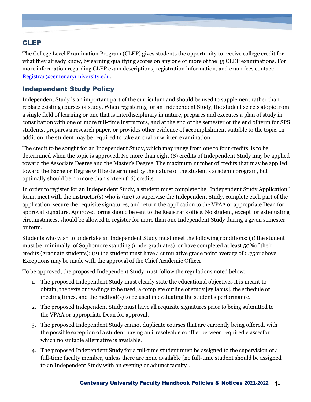# <span id="page-40-0"></span>CLEP

The College Level Examination Program (CLEP) gives students the opportunity to receive college credit for what they already know, by earning qualifying scores on any one or more of the 35 CLEP examinations. For more information regarding CLEP exam descriptions, registration information, and exam fees contact: [Registrar@centenaryuniversity.edu.](mailto:Registrar@centenaryuniversity.edu)

## Independent Study Policy

Independent Study is an important part of the curriculum and should be used to supplement rather than replace existing courses of study. When registering for an Independent Study, the student selects atopic from a single field of learning or one that is interdisciplinary in nature, prepares and executes a plan of study in consultation with one or more full-time instructors, and at the end of the semester or the end of term for SPS students, prepares a research paper, or provides other evidence of accomplishment suitable to the topic. In addition, the student may be required to take an oral or written examination.

The credit to be sought for an Independent Study, which may range from one to four credits, is to be determined when the topic is approved. No more than eight (8) credits of Independent Study may be applied toward the Associate Degree and the Master's Degree. The maximum number of credits that may be applied toward the Bachelor Degree will be determined by the nature of the student's academicprogram, but optimally should be no more than sixteen (16) credits.

In order to register for an Independent Study, a student must complete the "Independent Study Application" form, meet with the instructor(s) who is (are) to supervise the Independent Study, complete each part of the application, secure the requisite signatures, and return the application to the VPAA or appropriate Dean for approval signature. Approved forms should be sent to the Registrar's office. No student, except for extenuating circumstances, should be allowed to register for more than one Independent Study during a given semester or term.

Students who wish to undertake an Independent Study must meet the following conditions: (1) the student must be, minimally, of Sophomore standing (undergraduates), or have completed at least 50%of their credits (graduate students); (2) the student must have a cumulative grade point average of 2.75or above. Exceptions may be made with the approval of the Chief Academic Officer.

To be approved, the proposed Independent Study must follow the regulations noted below:

- 1. The proposed Independent Study must clearly state the educational objectives it is meant to obtain, the texts or readings to be used, a complete outline of study [syllabus], the schedule of meeting times, and the method(s) to be used in evaluating the student's performance.
- 2. The proposed Independent Study must have all requisite signatures prior to being submitted to the VPAA or appropriate Dean for approval.
- 3. The proposed Independent Study cannot duplicate courses that are currently being offered, with the possible exception of a student having an irresolvable conflict between required classesfor which no suitable alternative is available.
- 4. The proposed Independent Study for a full-time student must be assigned to the supervision of a full-time faculty member, unless there are none available [no full-time student should be assigned to an Independent Study with an evening or adjunct faculty].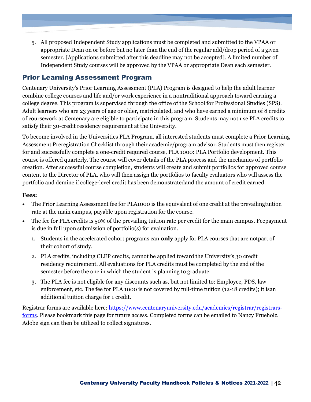5. All proposed Independent Study applications must be completed and submitted to the VPAA or appropriate Dean on or before but no later than the end of the regular add/drop period of a given semester. [Applications submitted after this deadline may not be accepted]. A limited number of Independent Study courses will be approved by the VPAA or appropriate Dean each semester.

## <span id="page-41-0"></span>Prior Learning Assessment Program

Centenary University's Prior Learning Assessment (PLA) Program is designed to help the adult learner combine college courses and life and/or work experience in a nontraditional approach toward earning a college degree. This program is supervised through the office of the School for Professional Studies (SPS). Adult learners who are 23 years of age or older, matriculated, and who have earned a minimum of 8 credits of coursework at Centenary are eligible to participate in this program. Students may not use PLA credits to satisfy their 30-credit residency requirement at the University.

To become involved in the Universities PLA Program, all interested students must complete a Prior Learning Assessment Preregistration Checklist through their academic/program advisor. Students must then register for and successfully complete a one-credit required course, PLA 1000: PLA Portfolio development. This course is offered quarterly. The course will cover details of the PLA process and the mechanics of portfolio creation. After successful course completion, students will create and submit portfolios for approved course content to the Director of PLA, who will then assign the portfolios to faculty evaluators who will assess the portfolio and demine if college-level credit has been demonstratedand the amount of credit earned.

#### **Fees:**

- The Prior Learning Assessment fee for PLA1000 is the equivalent of one credit at the prevailing tuition rate at the main campus, payable upon registration for the course.
- The fee for PLA credits is 50% of the prevailing tuition rate per credit for the main campus. Feepayment is due in full upon submission of portfolio(s) for evaluation.
	- 1. Students in the accelerated cohort programs can **only** apply for PLA courses that are notpart of their cohort of study.
	- 2. PLA credits, including CLEP credits, cannot be applied toward the University's 30 credit residency requirement. All evaluations for PLA credits must be completed by the end of the semester before the one in which the student is planning to graduate.
	- 3. The PLA fee is not eligible for any discounts such as, but not limited to: Employee, PDS, law enforcement, etc. The fee for PLA 1000 is not covered by full-time tuition (12-18 credits); it isan additional tuition charge for 1 credit.

Registrar forms are available here: [https://www.centenaryuniversity.edu/academics/registrar/registrars](https://www.centenaryuniversity.edu/academics/registrar/registrars-forms)[forms.](https://www.centenaryuniversity.edu/academics/registrar/registrars-forms) Please bookmark this page for future access. Completed forms can be emailed to Nancy Frueholz. Adobe sign can then be utilized to collect signatures.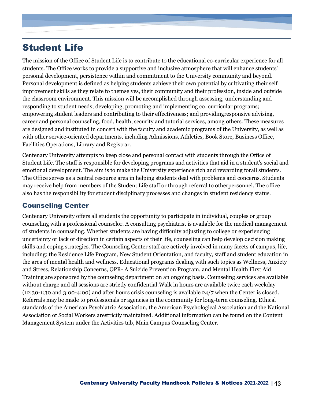# <span id="page-42-0"></span>Student Life

The mission of the Office of Student Life is to contribute to the educational co-curricular experience for all students. The Office works to provide a supportive and inclusive atmosphere that will enhance students' personal development, persistence within and commitment to the University community and beyond. Personal development is defined as helping students achieve their own potential by cultivating their self‐ improvement skills as they relate to themselves, their community and their profession, inside and outside the classroom environment. This mission will be accomplished through assessing, understanding and responding to student needs; developing, promoting and implementing co- curricular programs; empowering student leaders and contributing to their effectiveness; and providingresponsive advising, career and personal counseling, food, health, security and tutorial services, among others. These measures are designed and instituted in concert with the faculty and academic programs of the University, as well as with other service-oriented departments, including Admissions, Athletics, Book Store, Business Office, Facilities Operations, Library and Registrar.

Centenary University attempts to keep close and personal contact with students through the Office of Student Life. The staff is responsible for developing programs and activities that aid in a student's social and emotional development. The aim is to make the University experience rich and rewarding forall students. The Office serves as a central resource area in helping students deal with problems and concerns. Students may receive help from members of the Student Life staff or through referral to otherpersonnel. The office also has the responsibility for student disciplinary processes and changes in student residency status.

## <span id="page-42-1"></span>Counseling Center

Centenary University offers all students the opportunity to participate in individual, couples or group counseling with a professional counselor. A consulting psychiatrist is available for the medical management of students in counseling. Whether students are having difficulty adjusting to college or experiencing uncertainty or lack of direction in certain aspects of their life, counseling can help develop decision making skills and coping strategies. The Counseling Center staff are actively involved in many facets of campus, life, including: the Residence Life Program, New Student Orientation, and faculty, staff and student education in the area of mental health and wellness. Educational programs dealing with such topics as Wellness, Anxiety and Stress, Relationship Concerns, QPR- A Suicide Prevention Program, and Mental Health First Aid Training are sponsored by the counseling department on an ongoing basis. Counseling services are available without charge and all sessions are strictly confidential.Walk in hours are available twice each weekday (12:30-1:30 and 3:00-4:00) and after hours crisis counseling is available 24/7 when the Center is closed. Referrals may be made to professionals or agencies in the community for long-term counseling. Ethical standards of the American Psychiatric Association, the American Psychological Association and the National Association of Social Workers arestrictly maintained. Additional information can be found on the Content Management System under the Activities tab, Main Campus Counseling Center.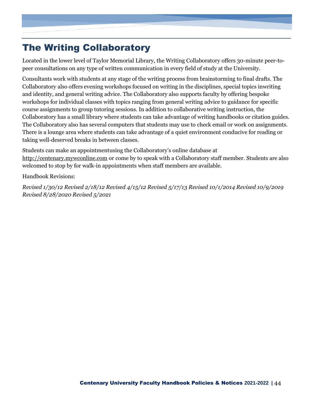# <span id="page-43-0"></span>The Writing Collaboratory

Located in the lower level of Taylor Memorial Library, the Writing Collaboratory offers 30-minute peer-topeer consultations on any type of written communication in every field of study at the University.

Consultants work with students at any stage of the writing process from brainstorming to final drafts. The Collaboratory also offers evening workshops focused on writing in the disciplines, special topics inwriting and identity, and general writing advice. The Collaboratory also supports faculty by offering bespoke workshops for individual classes with topics ranging from general writing advice to guidance for specific course assignments to group tutoring sessions. In addition to collaborative writing instruction, the Collaboratory has a small library where students can take advantage of writing handbooks or citation guides. The Collaboratory also has several computers that students may use to check email or work on assignments. There is a lounge area where students can take advantage of a quiet environment conducive for reading or taking well-deserved breaks in between classes.

Students can make an appointmentusing the Collaboratory's online database at [http://centenary.mywconline.com](http://centenary.mywconline.com/) or come by to speak with a Collaboratory staff member. Students are also welcomed to stop by for walk-in appointments when staff members are available.

Handbook Revisions:

*Revised 1/30/12 Revised 2/18/12 Revised 4/15/12 Revised 5/17/13 Revised 10/1/2014 Revised 10/9/2019 Revised 8/28/2020 Revised 5/2021*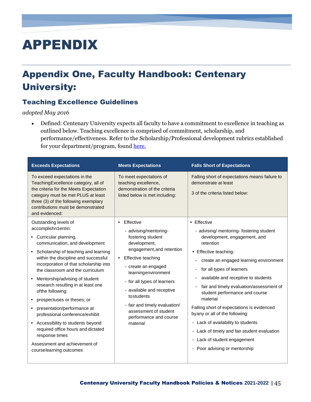# <span id="page-44-0"></span>APPENDIX

# <span id="page-44-1"></span>Appendix One, Faculty Handbook: Centenary University:

## <span id="page-44-2"></span>Teaching Excellence Guidelines

*adopted May 2016*

• Defined: Centenary University expects all faculty to have a commitment to excellence in teaching as outlined below. Teaching excellence is comprised of commitment, scholarship, and performance/effectiveness. Refer to the Scholarship/Professional development rubrics established for your department/program, foun[d here.](https://centenaryuniversity.sharepoint.com/:f:/g/AA/EhLKeOlwqFBAtRkeRWHO9yABK7dYetMZxNNhMkt0M5D8FA?e=dVhMcA)

| To exceed expectations in the<br>To meet expectations of<br>Teaching Excellence category, all of<br>teaching excellence,<br>demonstrate at least<br>demonstration of the criteria<br>the criteria for the Meets Expectation<br>3 of the criteria listed below:<br>category must be met PLUS at least<br>listed below is met including:<br>three (3) of the following exemplary<br>contributions must be demonstrated<br>and evidenced:<br>• Effective<br>Effective<br>Outstanding levels of<br>$\bullet$<br>accomplishn1entin:<br>- advising/mentoring-<br>fostering student<br>• Curricular planning,<br>retention<br>communication, and development<br>development,<br>engagement, and retention<br>Scholarship of teaching and learning<br>• Effective teaching-<br>within the discipline and successful<br>$\bullet$                                                          | <b>Exceeds Expectations</b> | <b>Meets Expectations</b> | <b>Falls Short of Expectations</b>                                                                                                                                                                                                                                                                                                  |
|-----------------------------------------------------------------------------------------------------------------------------------------------------------------------------------------------------------------------------------------------------------------------------------------------------------------------------------------------------------------------------------------------------------------------------------------------------------------------------------------------------------------------------------------------------------------------------------------------------------------------------------------------------------------------------------------------------------------------------------------------------------------------------------------------------------------------------------------------------------------------------------|-----------------------------|---------------------------|-------------------------------------------------------------------------------------------------------------------------------------------------------------------------------------------------------------------------------------------------------------------------------------------------------------------------------------|
|                                                                                                                                                                                                                                                                                                                                                                                                                                                                                                                                                                                                                                                                                                                                                                                                                                                                                   |                             |                           | Falling short of expectations means failure to                                                                                                                                                                                                                                                                                      |
| incorporation of that scholarship into<br>- create an engaged<br>for all types of learners<br>the classroom and the curriculum<br>learningenvironment<br>Mentorship/advising of student<br>- for all types of learners<br>research resulting in at least one<br>- available and receptive<br>ofthe following:<br>tostudents<br>material<br>prospectuses or theses; or<br>- fair and timely evaluation/<br>presentation/performance at<br>assessment of student<br>byany or all of the following:<br>professional conference/exhibit<br>performance and course<br>- Lack of availability to students<br>Accessibility to students beyond<br>material<br>$\bullet$<br>required office hours and dictated<br>$\overline{\phantom{0}}$<br>response times<br>- Lack of student engagement<br>Assessment and achievement of<br>- Poor advising or mentorship<br>courselearning outcomes |                             | Effective teaching        | - advising/ mentoring- fostering student<br>development, engagement, and<br>create an engaged learning environment<br>available and receptive to students<br>fair and timely evaluation/assessment of<br>student performance and course<br>Falling short of expectations is evidenced<br>Lack of timely and fair student evaluation |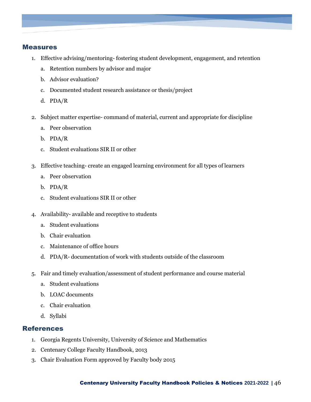#### <span id="page-45-0"></span>Measures

- 1. Effective advising/mentoring- fostering student development, engagement, and retention
	- a. Retention numbers by advisor and major
	- b. Advisor evaluation?
	- c. Documented student research assistance or thesis/project
	- d. PDA/R
- 2. Subject matter expertise- command of material, current and appropriate for discipline
	- a. Peer observation
	- b. PDA/R
	- c. Student evaluations SIR II or other
- 3. Effective teaching- create an engaged learning environment for all types of learners
	- a. Peer observation
	- b. PDA/R
	- c. Student evaluations SIR II or other
- 4. Availability- available and receptive to students
	- a. Student evaluations
	- b. Chair evaluation
	- c. Maintenance of office hours
	- d. PDA/R- documentation of work with students outside of the classroom
- 5. Fair and timely evaluation/assessment of student performance and course material
	- a. Student evaluations
	- b. LOAC documents
	- c. Chair evaluation
	- d. Syllabi

#### <span id="page-45-1"></span>References

- 1. Georgia Regents University, University of Science and Mathematics
- 2. Centenary College Faculty Handbook, 2013
- 3. Chair Evaluation Form approved by Faculty body 2015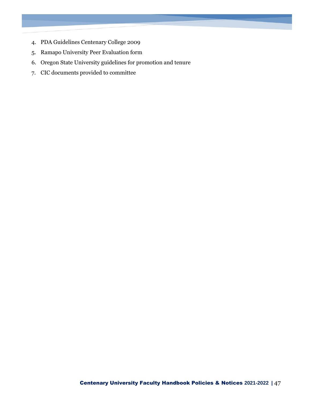- 4. PDA Guidelines Centenary College 2009
- 5. Ramapo University Peer Evaluation form
- 6. Oregon State University guidelines for promotion and tenure
- 7. CIC documents provided to committee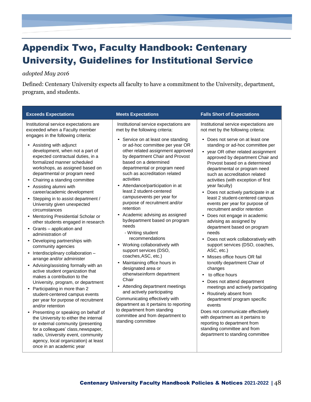# <span id="page-47-0"></span>Appendix Two, Faculty Handbook: Centenary University, Guidelines for Institutional Service

#### *adopted May 2016*

Defined: Centenary University expects all faculty to have a commitment to the University, department, program, and students.

| <b>Exceeds Expectations</b>                                                                                                                                                                                                                                                                                                                                                                                                                                                                                                                                                                                                                                                                                                                                                                                                                                                                                                                                                                                                                                                                                                                                                                                                                                                                                                     | <b>Meets Expectations</b>                                                                                                                                                                                                                                                                                                                                                                                                                                                                                                                                                                                                                                                                                                                                                                                                                                                                                                                                                                                      | <b>Falls Short of Expectations</b>                                                                                                                                                                                                                                                                                                                                                                                                                                                                                                                                                                                                                                                                                                                                                                                                                                                                                                                                                                                                                                                                                                                                                                                  |
|---------------------------------------------------------------------------------------------------------------------------------------------------------------------------------------------------------------------------------------------------------------------------------------------------------------------------------------------------------------------------------------------------------------------------------------------------------------------------------------------------------------------------------------------------------------------------------------------------------------------------------------------------------------------------------------------------------------------------------------------------------------------------------------------------------------------------------------------------------------------------------------------------------------------------------------------------------------------------------------------------------------------------------------------------------------------------------------------------------------------------------------------------------------------------------------------------------------------------------------------------------------------------------------------------------------------------------|----------------------------------------------------------------------------------------------------------------------------------------------------------------------------------------------------------------------------------------------------------------------------------------------------------------------------------------------------------------------------------------------------------------------------------------------------------------------------------------------------------------------------------------------------------------------------------------------------------------------------------------------------------------------------------------------------------------------------------------------------------------------------------------------------------------------------------------------------------------------------------------------------------------------------------------------------------------------------------------------------------------|---------------------------------------------------------------------------------------------------------------------------------------------------------------------------------------------------------------------------------------------------------------------------------------------------------------------------------------------------------------------------------------------------------------------------------------------------------------------------------------------------------------------------------------------------------------------------------------------------------------------------------------------------------------------------------------------------------------------------------------------------------------------------------------------------------------------------------------------------------------------------------------------------------------------------------------------------------------------------------------------------------------------------------------------------------------------------------------------------------------------------------------------------------------------------------------------------------------------|
| Institutional service expectations are<br>exceeded when a Faculty member<br>engages in the following criteria:<br>Assisting with adjunct<br>development, when not a part of<br>expected contractual duties, in a<br>formalized manner scheduled<br>workshops, as assigned based on<br>departmental or program need<br>Chairing a standing committee<br>$\bullet$<br>Assisting alumni with<br>$\bullet$<br>career/academic development<br>Stepping in to assist department /<br>University given unexpected<br>circumstances<br>Mentoring Presidential Scholar or<br>other students engaged in research<br>Grants - application and<br>$\bullet$<br>administration of<br>Developing partnerships with<br>$\bullet$<br>community agencies<br>Interdisciplinary collaboration -<br>$\bullet$<br>arrange and/or administer<br>Advising/assisting formally with an<br>active student organization that<br>makes a contribution to the<br>University, program, or department<br>Participating in more than 2<br>$\bullet$<br>student-centered campus events<br>per year for purpose of recruitment<br>and/or retention<br>Presenting or speaking on behalf of<br>$\bullet$<br>the University to either the internal<br>or external community (presenting<br>for a colleagues' class, newspaper,<br>radio, University event, community | Institutional service expectations are<br>met by the following criteria:<br>Service on at least one standing<br>or ad-hoc committee per year OR<br>other related assignment approved<br>by department Chair and Provost<br>based on a determined<br>departmental or program need<br>such as accreditation related<br>activities<br>Attendance/participation in at<br>least 2 student-centered<br>campusevents per year for<br>purpose of recruitment and/or<br>retention<br>Academic advising as assigned<br>bydepartment based on program<br>needs<br>- Writing student<br>recommendations<br>Working collaboratively with<br>support services (DSO,<br>coaches, ASC, etc.)<br>Maintaining office hours in<br>designated area or<br>otherwiseinform department<br>Chair<br>• Attending department meetings<br>and actively participating<br>Communicating effectively with<br>department as it pertains to reporting<br>to department from standing<br>committee and from department to<br>standing committee | Institutional service expectations are<br>not met by the following criteria:<br>• Does not serve on at least one<br>standing or ad-hoc committee per<br>• year OR other related assignment<br>approved by department Chair and<br>Provost based on a determined<br>departmental or program need<br>such as accreditation related<br>activities (with exception of first<br>year faculty)<br>• Does not actively participate in at<br>least 2 student-centered campus<br>events per year for purpose of<br>recruitment and/or retention<br>Does not engage in academic<br>$\bullet$<br>advising as assigned by<br>department based on program<br>needs<br>Does not work collaboratively with<br>$\bullet$<br>support services (DSO, coaches,<br>ASC, etc.)<br>Misses office hours OR fail<br>$\bullet$<br>tonotify department Chair of<br>changes<br>to office hours<br>$\bullet$<br>• Does not attend department<br>meetings and actively participating<br>Routinely absent from<br>$\bullet$<br>department/ program specific<br>events<br>Does not communicate effectively<br>with department as it pertains to<br>reporting to department from<br>standing committee and from<br>department to standing committee |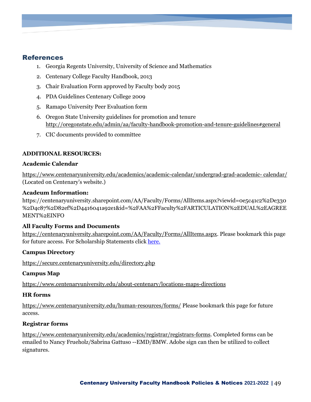#### <span id="page-48-0"></span>References

- 1. Georgia Regents University, University of Science and Mathematics
- 2. Centenary College Faculty Handbook, 2013
- 3. Chair Evaluation Form approved by Faculty body 2015
- 4. PDA Guidelines Centenary College 2009
- 5. Ramapo University Peer Evaluation form
- 6. Oregon State University guidelines for promotion and tenure <http://oregonstate.edu/admin/aa/faculty-handbook-promotion-and-tenure-guidelines#general>
- 7. CIC documents provided to committee

#### **ADDITIONAL RESOURCES:**

#### **Academic Calendar**

[https://www.centenaryuniversity.edu/academics/academic-calendar/undergrad-grad-academic-](https://www.centenaryuniversity.edu/academics/academic-calendar/undergrad-grad-academic-%20calendar/) calendar/ (Located on Centenary's website.)

#### **Acadeum Inf0rmation:**

https://centenaryuniversity.sharepoint.com/AA/Faculty/Forms/AllItems.aspx?viewid=0e5c41c2%2De330 %2D4c87%2D82ef%2D4416041a92e1&id=%2FAA%2FFaculty%2FARTICULATION%2EDUAL%2EAGREE MENT%2EINFO

#### **All Faculty Forms and Documents**

[https://centenaryuniversity.sharepoint.com/AA/Faculty/Forms/AllItems.aspx.](https://centenaryuniversity.sharepoint.com/AA/Faculty/Forms/AllItems.aspx) Please bookmark this page for future access. For Scholarship Statements click [here.](https://centenaryuniversity.sharepoint.com/:f:/g/AA/EhLKeOlwqFBAtRkeRWHO9yABK7dYetMZxNNhMkt0M5D8FA?e=OQPOyj)

#### **Campus Directory**

<https://secure.centenaryuniversity.edu/directory.php>

#### **Campus Map**

<https://www.centenaryuniversity.edu/about-centenary/locations-maps-directions>

#### **HR forms**

<https://www.centenaryuniversity.edu/human-resources/forms/> Please bookmark this page for future access.

#### **Registrar forms**

[https://www.centenaryuniversity.edu/academics/registrar/registrars-forms.](https://www.centenaryuniversity.edu/academics/registrar/registrars-forms) Completed forms can be emailed to Nancy Frueholz/Sabrina Gattuso --EMD/BMW. Adobe sign can then be utilized to collect signatures.